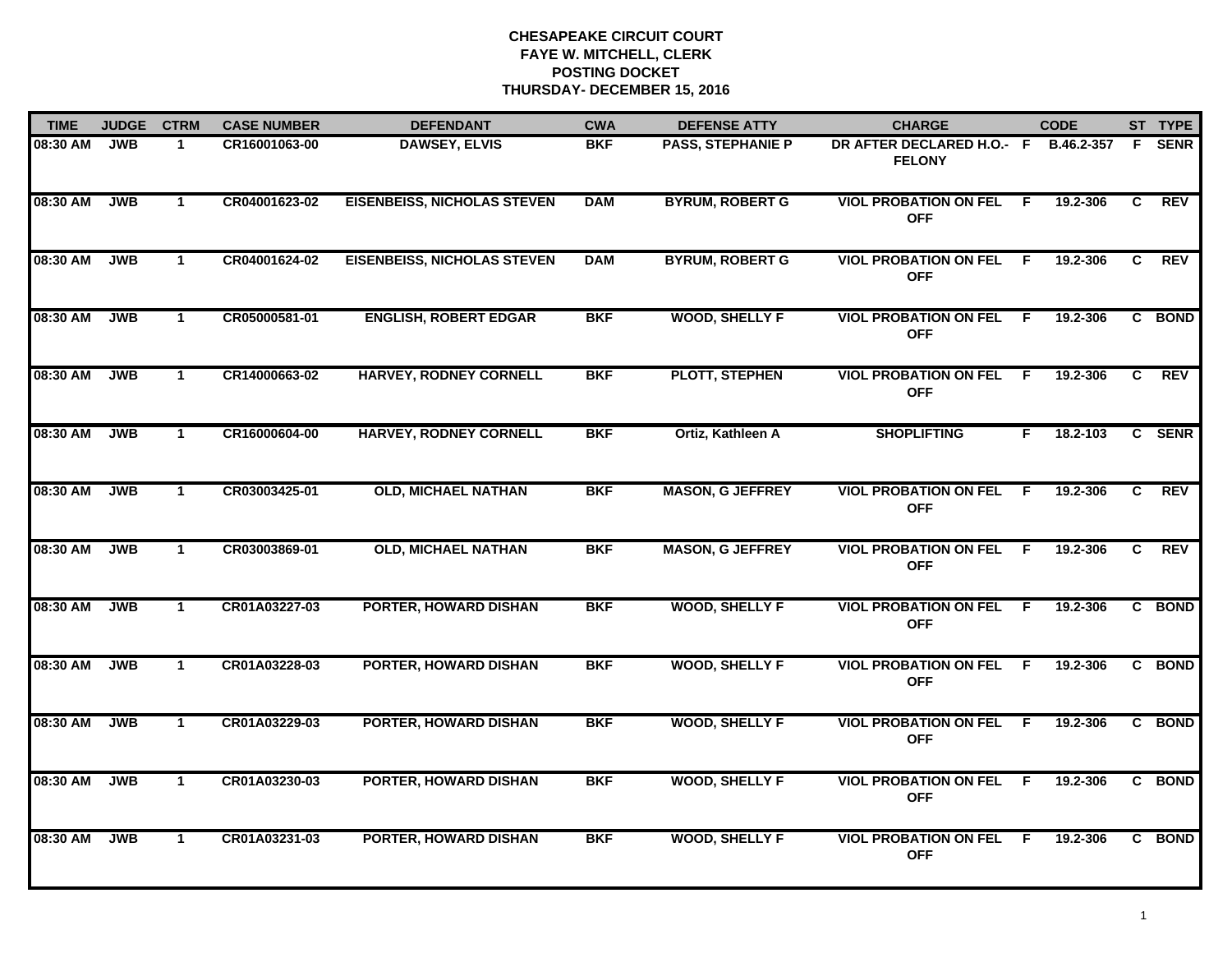| <b>TIME</b> | <b>JUDGE</b> | <b>CTRM</b>  | <b>CASE NUMBER</b> | <b>DEFENDANT</b>                   | <b>CWA</b> | <b>DEFENSE ATTY</b>      | <b>CHARGE</b>                              | <b>CODE</b>    |    | ST TYPE     |
|-------------|--------------|--------------|--------------------|------------------------------------|------------|--------------------------|--------------------------------------------|----------------|----|-------------|
| 08:30 AM    | <b>JWB</b>   | $\mathbf 1$  | CR16001063-00      | <b>DAWSEY, ELVIS</b>               | <b>BKF</b> | <b>PASS, STEPHANIE P</b> | DR AFTER DECLARED H.O.- F<br><b>FELONY</b> | B.46.2-357     | F. | <b>SENR</b> |
| 08:30 AM    | <b>JWB</b>   | $\mathbf{1}$ | CR04001623-02      | <b>EISENBEISS, NICHOLAS STEVEN</b> | <b>DAM</b> | <b>BYRUM, ROBERT G</b>   | <b>VIOL PROBATION ON FEL</b><br><b>OFF</b> | 19.2-306<br>F. | C  | <b>REV</b>  |
| 08:30 AM    | <b>JWB</b>   | $\mathbf{1}$ | CR04001624-02      | <b>EISENBEISS, NICHOLAS STEVEN</b> | <b>DAM</b> | <b>BYRUM, ROBERT G</b>   | <b>VIOL PROBATION ON FEL</b><br><b>OFF</b> | E<br>19.2-306  | C. | <b>REV</b>  |
| 08:30 AM    | <b>JWB</b>   | $\mathbf 1$  | CR05000581-01      | <b>ENGLISH, ROBERT EDGAR</b>       | <b>BKF</b> | <b>WOOD, SHELLY F</b>    | <b>VIOL PROBATION ON FEL</b><br><b>OFF</b> | 19.2-306<br>F. |    | C BOND      |
| 08:30 AM    | <b>JWB</b>   | $\mathbf{1}$ | CR14000663-02      | <b>HARVEY, RODNEY CORNELL</b>      | <b>BKF</b> | <b>PLOTT, STEPHEN</b>    | <b>VIOL PROBATION ON FEL</b><br><b>OFF</b> | 19.2-306<br>E  | C  | <b>REV</b>  |
| 08:30 AM    | <b>JWB</b>   | $\mathbf{1}$ | CR16000604-00      | <b>HARVEY, RODNEY CORNELL</b>      | <b>BKF</b> | Ortiz, Kathleen A        | <b>SHOPLIFTING</b>                         | 18.2-103<br>F. |    | C SENR      |
| 08:30 AM    | <b>JWB</b>   | $\mathbf{1}$ | CR03003425-01      | <b>OLD, MICHAEL NATHAN</b>         | <b>BKF</b> | <b>MASON, G JEFFREY</b>  | <b>VIOL PROBATION ON FEL</b><br><b>OFF</b> | 19.2-306<br>F. | C  | <b>REV</b>  |
| 08:30 AM    | <b>JWB</b>   | $\mathbf{1}$ | CR03003869-01      | <b>OLD, MICHAEL NATHAN</b>         | <b>BKF</b> | <b>MASON, G JEFFREY</b>  | <b>VIOL PROBATION ON FEL</b><br><b>OFF</b> | 19.2-306<br>F. | C. | <b>REV</b>  |
| 08:30 AM    | <b>JWB</b>   | $\mathbf 1$  | CR01A03227-03      | <b>PORTER, HOWARD DISHAN</b>       | <b>BKF</b> | <b>WOOD, SHELLY F</b>    | <b>VIOL PROBATION ON FEL</b><br><b>OFF</b> | F.<br>19.2-306 |    | C BOND      |
| 08:30 AM    | <b>JWB</b>   | $\mathbf{1}$ | CR01A03228-03      | <b>PORTER, HOWARD DISHAN</b>       | <b>BKF</b> | <b>WOOD, SHELLY F</b>    | <b>VIOL PROBATION ON FEL</b><br><b>OFF</b> | F.<br>19.2-306 |    | C BOND      |
| 08:30 AM    | <b>JWB</b>   | $\mathbf{1}$ | CR01A03229-03      | PORTER, HOWARD DISHAN              | <b>BKF</b> | <b>WOOD, SHELLY F</b>    | <b>VIOL PROBATION ON FEL</b><br><b>OFF</b> | E<br>19.2-306  |    | C BOND      |
| 08:30 AM    | <b>JWB</b>   | $\mathbf{1}$ | CR01A03230-03      | PORTER, HOWARD DISHAN              | <b>BKF</b> | <b>WOOD, SHELLY F</b>    | <b>VIOL PROBATION ON FEL</b><br><b>OFF</b> | F.<br>19.2-306 |    | C BOND      |
| 08:30 AM    | <b>JWB</b>   | $\mathbf 1$  | CR01A03231-03      | <b>PORTER, HOWARD DISHAN</b>       | <b>BKF</b> | <b>WOOD, SHELLY F</b>    | <b>VIOL PROBATION ON FEL</b><br><b>OFF</b> | 19.2-306<br>F. |    | C BOND      |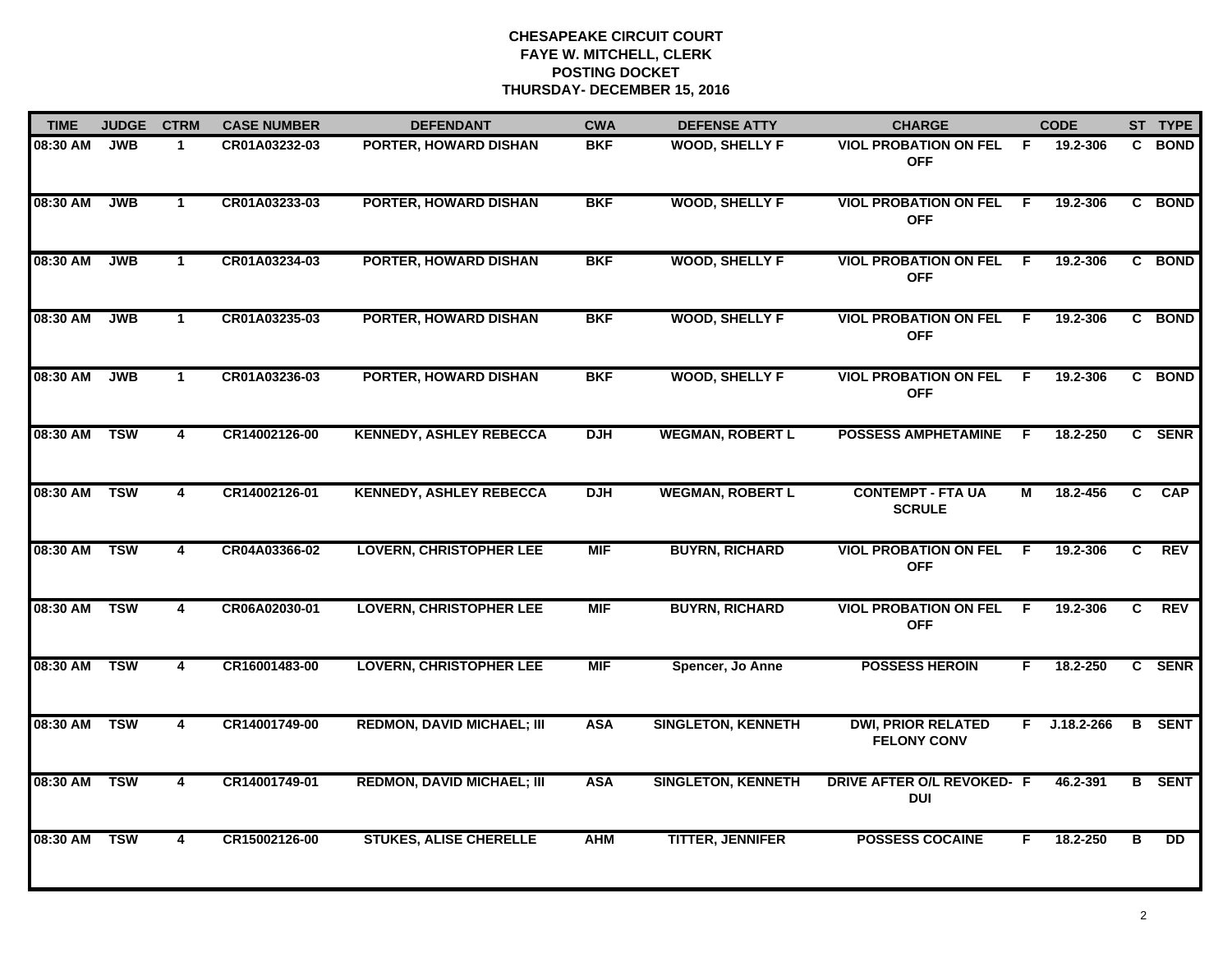| <b>TIME</b> | <b>JUDGE</b> | <b>CTRM</b>    | <b>CASE NUMBER</b> | <b>DEFENDANT</b>                  | <b>CWA</b> | <b>DEFENSE ATTY</b>       | <b>CHARGE</b>                                   |    | <b>CODE</b>  |                | ST TYPE         |
|-------------|--------------|----------------|--------------------|-----------------------------------|------------|---------------------------|-------------------------------------------------|----|--------------|----------------|-----------------|
| 08:30 AM    | <b>JWB</b>   | $\mathbf{1}$   | CR01A03232-03      | PORTER, HOWARD DISHAN             | <b>BKF</b> | <b>WOOD, SHELLY F</b>     | <b>VIOL PROBATION ON FEL</b><br><b>OFF</b>      | F. | 19.2-306     |                | C BOND          |
| 08:30 AM    | <b>JWB</b>   | $\mathbf{1}$   | CR01A03233-03      | <b>PORTER, HOWARD DISHAN</b>      | <b>BKF</b> | <b>WOOD, SHELLY F</b>     | <b>VIOL PROBATION ON FEL</b><br><b>OFF</b>      | F. | 19.2-306     |                | C BOND          |
| 08:30 AM    | <b>JWB</b>   | $\mathbf{1}$   | CR01A03234-03      | PORTER, HOWARD DISHAN             | <b>BKF</b> | <b>WOOD, SHELLY F</b>     | <b>VIOL PROBATION ON FEL</b><br><b>OFF</b>      | E  | 19.2-306     |                | C BOND          |
| 08:30 AM    | <b>JWB</b>   | 1              | CR01A03235-03      | <b>PORTER, HOWARD DISHAN</b>      | <b>BKF</b> | <b>WOOD, SHELLY F</b>     | <b>VIOL PROBATION ON FEL</b><br><b>OFF</b>      | E  | 19.2-306     |                | C BOND          |
| 08:30 AM    | <b>JWB</b>   | $\mathbf 1$    | CR01A03236-03      | <b>PORTER, HOWARD DISHAN</b>      | <b>BKF</b> | <b>WOOD, SHELLY F</b>     | <b>VIOL PROBATION ON FEL</b><br><b>OFF</b>      | F. | 19.2-306     |                | C BOND          |
| 08:30 AM    | <b>TSW</b>   | 4              | CR14002126-00      | <b>KENNEDY, ASHLEY REBECCA</b>    | <b>DJH</b> | <b>WEGMAN, ROBERT L</b>   | <b>POSSESS AMPHETAMINE</b>                      | F. | 18.2-250     |                | C SENR          |
| 08:30 AM    | <b>TSW</b>   | 4              | CR14002126-01      | <b>KENNEDY, ASHLEY REBECCA</b>    | <b>DJH</b> | <b>WEGMAN, ROBERT L</b>   | <b>CONTEMPT - FTA UA</b><br><b>SCRULE</b>       | М  | 18.2-456     | C.             | <b>CAP</b>      |
| 08:30 AM    | <b>TSW</b>   | $\overline{4}$ | CR04A03366-02      | <b>LOVERN, CHRISTOPHER LEE</b>    | <b>MIF</b> | <b>BUYRN, RICHARD</b>     | <b>VIOL PROBATION ON FEL</b><br><b>OFF</b>      | F. | 19.2-306     | $\overline{c}$ | <b>REV</b>      |
| 08:30 AM    | <b>TSW</b>   | 4              | CR06A02030-01      | <b>LOVERN, CHRISTOPHER LEE</b>    | <b>MIF</b> | <b>BUYRN, RICHARD</b>     | <b>VIOL PROBATION ON FEL</b><br><b>OFF</b>      | F  | 19.2-306     | C.             | <b>REV</b>      |
| 08:30 AM    | <b>TSW</b>   | 4              | CR16001483-00      | <b>LOVERN, CHRISTOPHER LEE</b>    | <b>MIF</b> | Spencer, Jo Anne          | <b>POSSESS HEROIN</b>                           | F. | 18.2-250     |                | C SENR          |
| 08:30 AM    | <b>TSW</b>   | 4              | CR14001749-00      | <b>REDMON, DAVID MICHAEL; III</b> | <b>ASA</b> | <b>SINGLETON, KENNETH</b> | <b>DWI, PRIOR RELATED</b><br><b>FELONY CONV</b> |    | F J.18.2-266 |                | <b>B</b> SENT   |
| 08:30 AM    | <b>TSW</b>   | 4              | CR14001749-01      | <b>REDMON, DAVID MICHAEL; III</b> | <b>ASA</b> | <b>SINGLETON, KENNETH</b> | <b>DRIVE AFTER O/L REVOKED- F</b><br><b>DUI</b> |    | 46.2-391     |                | <b>B</b> SENT   |
| 08:30 AM    | <b>TSW</b>   | 4              | CR15002126-00      | <b>STUKES, ALISE CHERELLE</b>     | <b>AHM</b> | <b>TITTER, JENNIFER</b>   | <b>POSSESS COCAINE</b>                          | F. | 18.2-250     | B              | $\overline{DD}$ |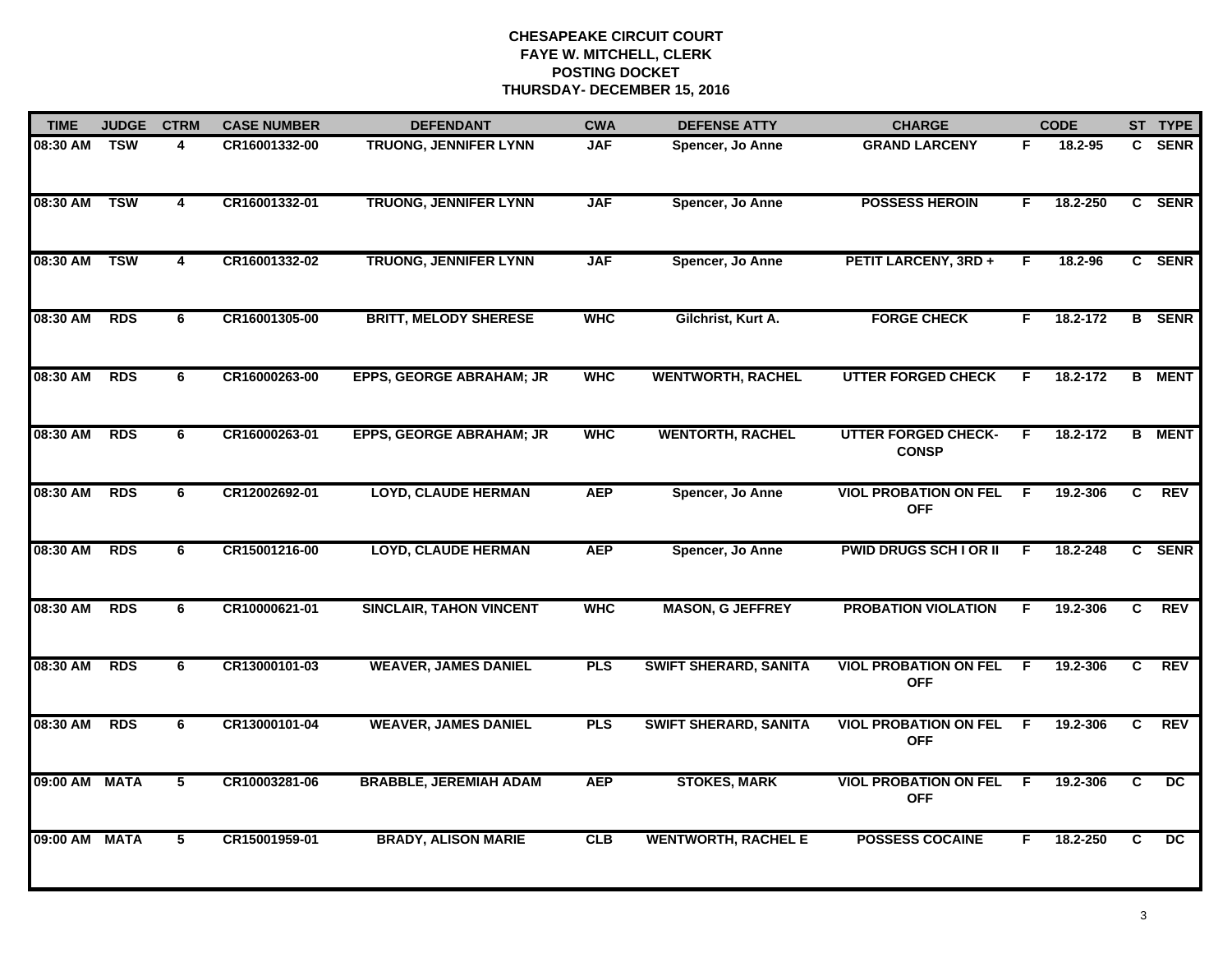| <b>TIME</b> | <b>JUDGE</b> | <b>CTRM</b>             | <b>CASE NUMBER</b> | <b>DEFENDANT</b>                | <b>CWA</b> | <b>DEFENSE ATTY</b>          | <b>CHARGE</b>                              |    | <b>CODE</b> |                | ST TYPE       |
|-------------|--------------|-------------------------|--------------------|---------------------------------|------------|------------------------------|--------------------------------------------|----|-------------|----------------|---------------|
| 08:30 AM    | <b>TSW</b>   | 4                       | CR16001332-00      | TRUONG, JENNIFER LYNN           | <b>JAF</b> | Spencer, Jo Anne             | <b>GRAND LARCENY</b>                       | F. | 18.2-95     |                | C SENR        |
| 08:30 AM    | <b>TSW</b>   | 4                       | CR16001332-01      | <b>TRUONG, JENNIFER LYNN</b>    | <b>JAF</b> | Spencer, Jo Anne             | <b>POSSESS HEROIN</b>                      | F  | 18.2-250    |                | C SENR        |
| 08:30 AM    | <b>TSW</b>   | $\overline{\mathbf{4}}$ | CR16001332-02      | <b>TRUONG, JENNIFER LYNN</b>    | <b>JAF</b> | Spencer, Jo Anne             | PETIT LARCENY, 3RD +                       | F  | 18.2-96     |                | C SENR        |
| 08:30 AM    | <b>RDS</b>   | 6                       | CR16001305-00      | <b>BRITT, MELODY SHERESE</b>    | <b>WHC</b> | Gilchrist, Kurt A.           | <b>FORGE CHECK</b>                         | F. | 18.2-172    |                | <b>B</b> SENR |
| 08:30 AM    | <b>RDS</b>   | 6                       | CR16000263-00      | <b>EPPS, GEORGE ABRAHAM; JR</b> | <b>WHC</b> | <b>WENTWORTH, RACHEL</b>     | <b>UTTER FORGED CHECK</b>                  | F  | 18.2-172    | B              | <b>MENT</b>   |
| 08:30 AM    | <b>RDS</b>   | 6                       | CR16000263-01      | <b>EPPS, GEORGE ABRAHAM; JR</b> | <b>WHC</b> | <b>WENTORTH, RACHEL</b>      | <b>UTTER FORGED CHECK-</b><br><b>CONSP</b> | F  | 18.2-172    |                | <b>B</b> MENT |
| 08:30 AM    | <b>RDS</b>   | 6                       | CR12002692-01      | <b>LOYD, CLAUDE HERMAN</b>      | <b>AEP</b> | Spencer, Jo Anne             | <b>VIOL PROBATION ON FEL</b><br><b>OFF</b> | F  | 19.2-306    | C              | <b>REV</b>    |
| 08:30 AM    | <b>RDS</b>   | 6                       | CR15001216-00      | <b>LOYD, CLAUDE HERMAN</b>      | <b>AEP</b> | Spencer, Jo Anne             | <b>PWID DRUGS SCH LOR II</b>               | F  | 18.2-248    |                | C SENR        |
| 08:30 AM    | <b>RDS</b>   | 6                       | CR10000621-01      | <b>SINCLAIR, TAHON VINCENT</b>  | <b>WHC</b> | <b>MASON, G JEFFREY</b>      | <b>PROBATION VIOLATION</b>                 | F  | 19.2-306    | C.             | <b>REV</b>    |
| 08:30 AM    | <b>RDS</b>   | 6                       | CR13000101-03      | <b>WEAVER, JAMES DANIEL</b>     | <b>PLS</b> | <b>SWIFT SHERARD, SANITA</b> | <b>VIOL PROBATION ON FEL</b><br><b>OFF</b> | F  | 19.2-306    | C              | <b>REV</b>    |
| 08:30 AM    | <b>RDS</b>   | 6                       | CR13000101-04      | <b>WEAVER, JAMES DANIEL</b>     | <b>PLS</b> | <b>SWIFT SHERARD, SANITA</b> | <b>VIOL PROBATION ON FEL</b><br><b>OFF</b> | F  | 19.2-306    | $\overline{c}$ | <b>REV</b>    |
| 09:00 AM    | <b>MATA</b>  | 5                       | CR10003281-06      | <b>BRABBLE, JEREMIAH ADAM</b>   | <b>AEP</b> | <b>STOKES, MARK</b>          | <b>VIOL PROBATION ON FEL</b><br><b>OFF</b> | F. | 19.2-306    | C              | DC            |
| 09:00 AM    | <b>MATA</b>  | 5                       | CR15001959-01      | <b>BRADY, ALISON MARIE</b>      | CLB        | <b>WENTWORTH, RACHEL E</b>   | <b>POSSESS COCAINE</b>                     | F. | 18.2-250    | C.             | DC.           |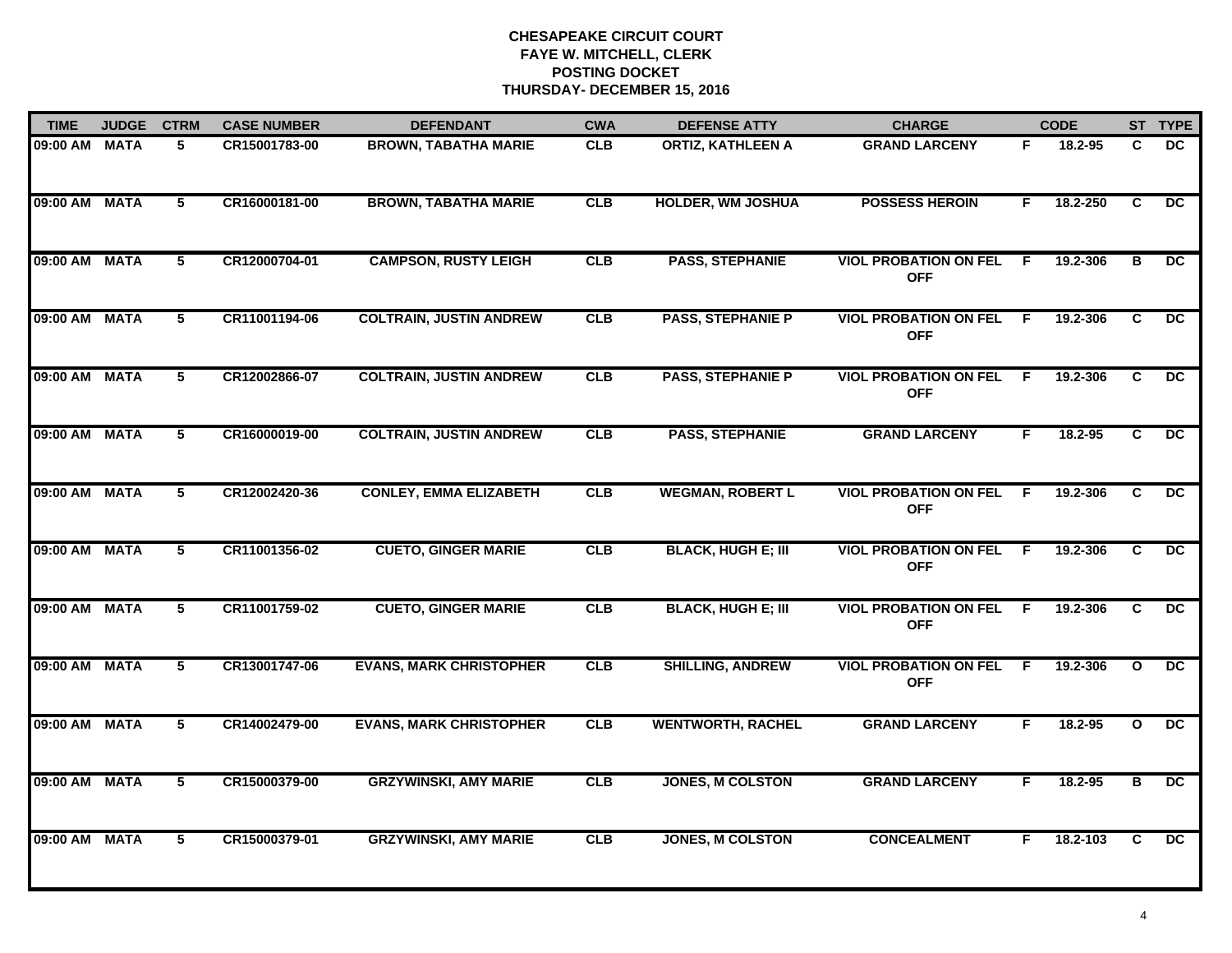| <b>TIME</b>   | <b>JUDGE</b> | <b>CTRM</b>     | <b>CASE NUMBER</b> | <b>DEFENDANT</b>               | <b>CWA</b> | <b>DEFENSE ATTY</b>       | <b>CHARGE</b>                              |     | <b>CODE</b> |                         | ST TYPE         |
|---------------|--------------|-----------------|--------------------|--------------------------------|------------|---------------------------|--------------------------------------------|-----|-------------|-------------------------|-----------------|
| 09:00 AM      | <b>MATA</b>  | 5               | CR15001783-00      | <b>BROWN, TABATHA MARIE</b>    | CLB        | <b>ORTIZ, KATHLEEN A</b>  | <b>GRAND LARCENY</b>                       | F.  | 18.2-95     | C.                      | DC              |
| 09:00 AM MATA |              | 5               | CR16000181-00      | <b>BROWN, TABATHA MARIE</b>    | CLB        | <b>HOLDER, WM JOSHUA</b>  | <b>POSSESS HEROIN</b>                      | F.  | 18.2-250    | $\overline{c}$          | DC              |
| 09:00 AM      | <b>MATA</b>  | $\overline{5}$  | CR12000704-01      | <b>CAMPSON, RUSTY LEIGH</b>    | CLB        | <b>PASS, STEPHANIE</b>    | <b>VIOL PROBATION ON FEL</b><br><b>OFF</b> | F.  | 19.2-306    | $\overline{\mathbf{B}}$ | $\overline{DC}$ |
| 09:00 AM      | <b>MATA</b>  | 5               | CR11001194-06      | <b>COLTRAIN, JUSTIN ANDREW</b> | CLB        | <b>PASS, STEPHANIE P</b>  | <b>VIOL PROBATION ON FEL</b><br><b>OFF</b> | E   | 19.2-306    | C.                      | DC              |
| 09:00 AM MATA |              | 5               | CR12002866-07      | <b>COLTRAIN, JUSTIN ANDREW</b> | CLB        | <b>PASS, STEPHANIE P</b>  | <b>VIOL PROBATION ON FEL</b><br><b>OFF</b> | -F. | 19.2-306    | C                       | DC.             |
| 09:00 AM MATA |              | $5\phantom{.0}$ | CR16000019-00      | <b>COLTRAIN, JUSTIN ANDREW</b> | <b>CLB</b> | <b>PASS, STEPHANIE</b>    | <b>GRAND LARCENY</b>                       | F.  | 18.2-95     | C.                      | DC              |
| 09:00 AM      | <b>MATA</b>  | 5               | CR12002420-36      | <b>CONLEY, EMMA ELIZABETH</b>  | CLB        | <b>WEGMAN, ROBERT L</b>   | <b>VIOL PROBATION ON FEL</b><br><b>OFF</b> | -F  | 19.2-306    | C.                      | $\overline{DC}$ |
| 09:00 AM      | <b>MATA</b>  | $\overline{5}$  | CR11001356-02      | <b>CUETO, GINGER MARIE</b>     | CLB        | <b>BLACK, HUGH E; III</b> | <b>VIOL PROBATION ON FEL</b><br><b>OFF</b> | F.  | 19.2-306    | $\overline{c}$          | $\overline{DC}$ |
| 09:00 AM      | <b>MATA</b>  | 5               | CR11001759-02      | <b>CUETO, GINGER MARIE</b>     | CLB        | <b>BLACK, HUGH E; III</b> | <b>VIOL PROBATION ON FEL</b><br><b>OFF</b> | E   | 19.2-306    | C                       | <b>DC</b>       |
| 09:00 AM      | <b>MATA</b>  | 5               | CR13001747-06      | <b>EVANS, MARK CHRISTOPHER</b> | CLB        | <b>SHILLING, ANDREW</b>   | <b>VIOL PROBATION ON FEL</b><br><b>OFF</b> | E   | 19.2-306    | $\mathbf{o}$            | <b>DC</b>       |
| 09:00 AM MATA |              | $5\phantom{.0}$ | CR14002479-00      | <b>EVANS, MARK CHRISTOPHER</b> | CLB        | <b>WENTWORTH, RACHEL</b>  | <b>GRAND LARCENY</b>                       | F.  | 18.2-95     | $\mathbf{o}$            | DC              |
| 09:00 AM MATA |              | $5\phantom{.0}$ | CR15000379-00      | <b>GRZYWINSKI, AMY MARIE</b>   | CLB        | <b>JONES, M COLSTON</b>   | <b>GRAND LARCENY</b>                       | F.  | 18.2-95     | в                       | DC              |
| 09:00 AM      | <b>MATA</b>  | 5               | CR15000379-01      | <b>GRZYWINSKI, AMY MARIE</b>   | CLB        | <b>JONES, M COLSTON</b>   | <b>CONCEALMENT</b>                         | F   | 18.2-103    | C.                      | $\overline{DC}$ |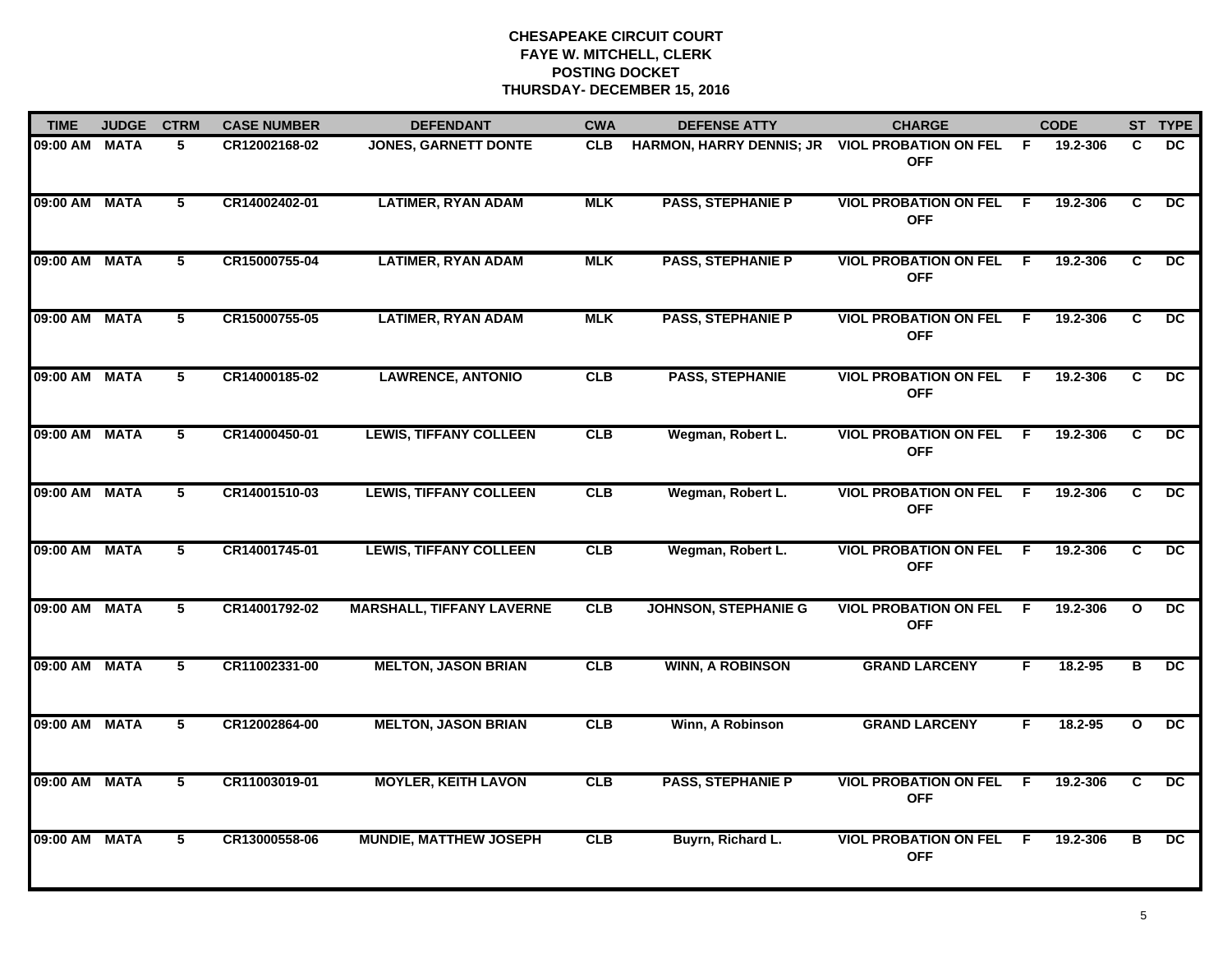| <b>TIME</b>   | <b>JUDGE</b> | <b>CTRM</b>     | <b>CASE NUMBER</b> | <b>DEFENDANT</b>                 | <b>CWA</b> | <b>DEFENSE ATTY</b>         | <b>CHARGE</b>                                |     | <b>CODE</b> |                | ST TYPE         |
|---------------|--------------|-----------------|--------------------|----------------------------------|------------|-----------------------------|----------------------------------------------|-----|-------------|----------------|-----------------|
| 09:00 AM      | <b>MATA</b>  | 5               | CR12002168-02      | <b>JONES, GARNETT DONTE</b>      | <b>CLB</b> | HARMON, HARRY DENNIS; JR    | <b>VIOL PROBATION ON FEL</b><br><b>OFF</b>   | - F | 19.2-306    | C              | <b>DC</b>       |
| 09:00 AM      | <b>MATA</b>  | $5^{\circ}$     | CR14002402-01      | <b>LATIMER, RYAN ADAM</b>        | <b>MLK</b> | <b>PASS, STEPHANIE P</b>    | <b>VIOL PROBATION ON FEL</b><br><b>OFF</b>   | F.  | 19.2-306    | C.             | DC              |
| 09:00 AM      | <b>MATA</b>  | 5               | CR15000755-04      | <b>LATIMER, RYAN ADAM</b>        | <b>MLK</b> | <b>PASS, STEPHANIE P</b>    | <b>VIOL PROBATION ON FEL</b><br><b>OFF</b>   | F.  | 19.2-306    | C.             | $\overline{DC}$ |
| 09:00 AM MATA |              | 5               | CR15000755-05      | <b>LATIMER, RYAN ADAM</b>        | <b>MLK</b> | <b>PASS, STEPHANIE P</b>    | <b>VIOL PROBATION ON FEL F</b><br><b>OFF</b> |     | 19.2-306    | C.             | <b>DC</b>       |
| 09:00 AM      | <b>MATA</b>  | 5               | CR14000185-02      | <b>LAWRENCE, ANTONIO</b>         | CLB        | <b>PASS, STEPHANIE</b>      | <b>VIOL PROBATION ON FEL</b><br><b>OFF</b>   | - F | 19.2-306    | C.             | <b>DC</b>       |
| 09:00 AM MATA |              | 5               | CR14000450-01      | <b>LEWIS, TIFFANY COLLEEN</b>    | <b>CLB</b> | Wegman, Robert L.           | <b>VIOL PROBATION ON FEL F</b><br><b>OFF</b> |     | 19.2-306    | C.             | $\overline{DC}$ |
| 09:00 AM MATA |              | $5^{\circ}$     | CR14001510-03      | <b>LEWIS, TIFFANY COLLEEN</b>    | CLB        | Wegman, Robert L.           | <b>VIOL PROBATION ON FEL</b><br><b>OFF</b>   | - F | 19.2-306    | C.             | $\overline{DC}$ |
| 09:00 AM      | <b>MATA</b>  | $\overline{5}$  | CR14001745-01      | <b>LEWIS, TIFFANY COLLEEN</b>    | CLB        | Wegman, Robert L.           | <b>VIOL PROBATION ON FEL</b><br><b>OFF</b>   | F.  | 19.2-306    | $\overline{c}$ | $\overline{DC}$ |
| 09:00 AM      | <b>MATA</b>  | 5               | CR14001792-02      | <b>MARSHALL, TIFFANY LAVERNE</b> | <b>CLB</b> | <b>JOHNSON, STEPHANIE G</b> | <b>VIOL PROBATION ON FEL</b><br><b>OFF</b>   | E   | 19.2-306    | $\mathbf{o}$   | DC.             |
| 09:00 AM      | <b>MATA</b>  | 5               | CR11002331-00      | <b>MELTON, JASON BRIAN</b>       | CLB        | <b>WINN, A ROBINSON</b>     | <b>GRAND LARCENY</b>                         | F   | 18.2-95     | в              | <b>DC</b>       |
| 09:00 AM MATA |              | 5               | CR12002864-00      | <b>MELTON, JASON BRIAN</b>       | CLB        | Winn, A Robinson            | <b>GRAND LARCENY</b>                         | F.  | 18.2-95     | $\mathbf{o}$   | DC.             |
| 09:00 AM MATA |              | $5\phantom{.0}$ | CR11003019-01      | <b>MOYLER, KEITH LAVON</b>       | CLB        | <b>PASS, STEPHANIE P</b>    | <b>VIOL PROBATION ON FEL</b><br><b>OFF</b>   | - F | 19.2-306    | C.             | DC              |
| 09:00 AM      | <b>MATA</b>  | 5               | CR13000558-06      | <b>MUNDIE, MATTHEW JOSEPH</b>    | <b>CLB</b> | Buyrn, Richard L.           | <b>VIOL PROBATION ON FEL</b><br><b>OFF</b>   | - F | 19.2-306    | в              | <b>DC</b>       |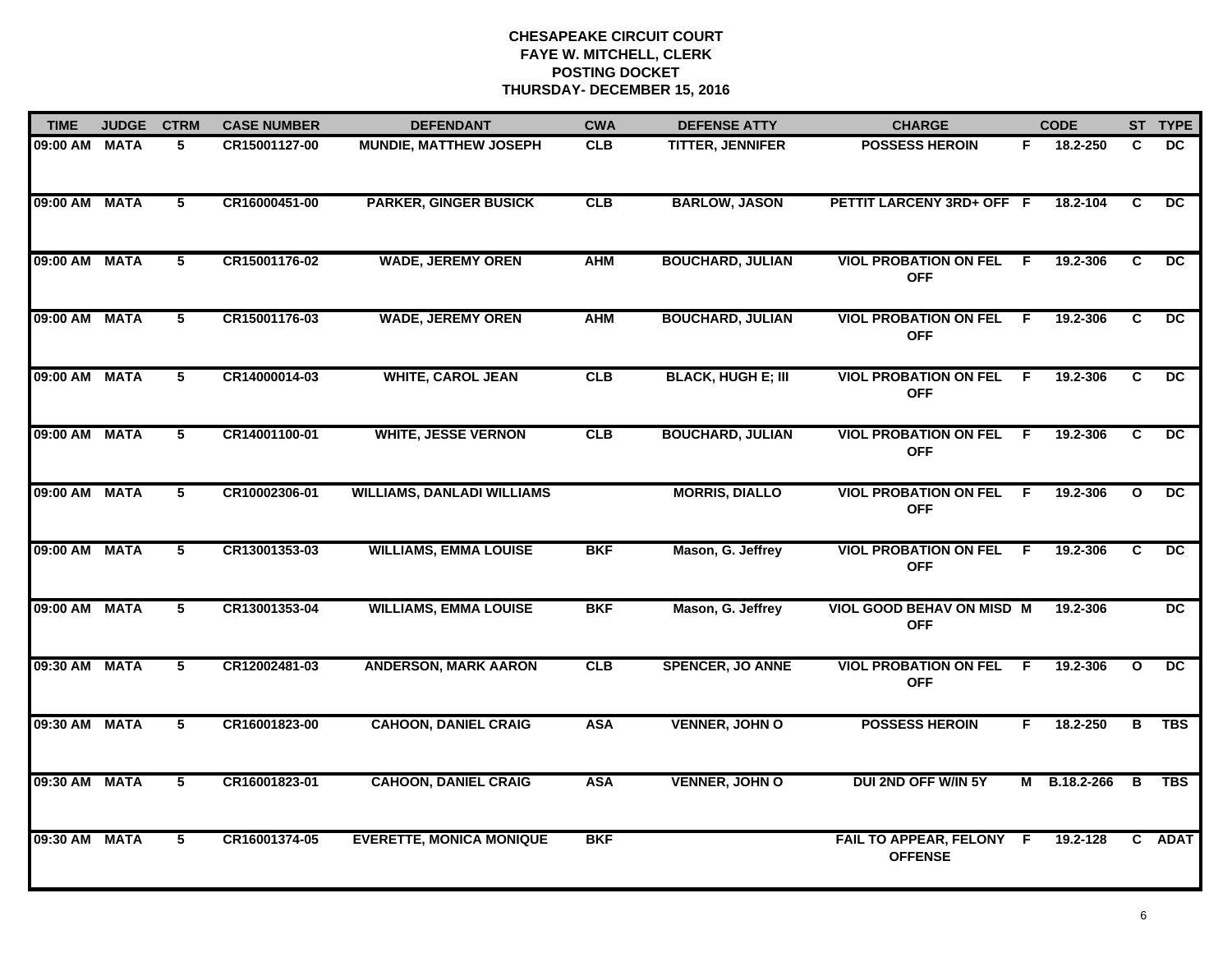| <b>TIME</b>   | <b>JUDGE</b> | <b>CTRM</b>     | <b>CASE NUMBER</b> | <b>DEFENDANT</b>                  | <b>CWA</b> | <b>DEFENSE ATTY</b>       | <b>CHARGE</b>                                  |     | <b>CODE</b>  |              | ST TYPE         |
|---------------|--------------|-----------------|--------------------|-----------------------------------|------------|---------------------------|------------------------------------------------|-----|--------------|--------------|-----------------|
| 09:00 AM MATA |              | 5.              | CR15001127-00      | <b>MUNDIE, MATTHEW JOSEPH</b>     | <b>CLB</b> | TITTER, JENNIFER          | <b>POSSESS HEROIN</b>                          | F.  | 18.2-250     | C            | DC.             |
| 09:00 AM MATA |              | $5\overline{ }$ | CR16000451-00      | <b>PARKER, GINGER BUSICK</b>      | CLB        | <b>BARLOW, JASON</b>      | PETTIT LARCENY 3RD+ OFF F                      |     | 18.2-104     | C            | $\overline{DC}$ |
| 09:00 AM MATA |              | 5               | CR15001176-02      | <b>WADE, JEREMY OREN</b>          | <b>AHM</b> | <b>BOUCHARD, JULIAN</b>   | <b>VIOL PROBATION ON FEL</b><br><b>OFF</b>     | -F  | 19.2-306     | C            | $\overline{DC}$ |
| 09:00 AM MATA |              | 5               | CR15001176-03      | <b>WADE, JEREMY OREN</b>          | <b>AHM</b> | <b>BOUCHARD, JULIAN</b>   | <b>VIOL PROBATION ON FEL F</b><br><b>OFF</b>   |     | 19.2-306     | C            | DC.             |
| 09:00 AM MATA |              | 5               | CR14000014-03      | <b>WHITE, CAROL JEAN</b>          | CLB        | <b>BLACK, HUGH E; III</b> | <b>VIOL PROBATION ON FEL</b><br><b>OFF</b>     | -F  | 19.2-306     | C            | <b>DC</b>       |
| 09:00 AM MATA |              | 5               | CR14001100-01      | <b>WHITE, JESSE VERNON</b>        | CLB        | <b>BOUCHARD, JULIAN</b>   | <b>VIOL PROBATION ON FEL F</b><br><b>OFF</b>   |     | 19.2-306     | C            | DC.             |
| 09:00 AM MATA |              | $\overline{5}$  | CR10002306-01      | <b>WILLIAMS, DANLADI WILLIAMS</b> |            | <b>MORRIS, DIALLO</b>     | <b>VIOL PROBATION ON FEL</b><br><b>OFF</b>     | - F | 19.2-306     | $\mathbf{o}$ | $\overline{DC}$ |
| 09:00 AM MATA |              | 5               | CR13001353-03      | <b>WILLIAMS, EMMA LOUISE</b>      | <b>BKF</b> | Mason, G. Jeffrey         | <b>VIOL PROBATION ON FEL</b><br><b>OFF</b>     | - F | 19.2-306     | C            | $\overline{DC}$ |
| 09:00 AM MATA |              | 5               | CR13001353-04      | <b>WILLIAMS, EMMA LOUISE</b>      | <b>BKF</b> | Mason, G. Jeffrey         | <b>VIOL GOOD BEHAV ON MISD M</b><br><b>OFF</b> |     | 19.2-306     |              | <b>DC</b>       |
| 09:30 AM      | <b>MATA</b>  | 5               | CR12002481-03      | <b>ANDERSON, MARK AARON</b>       | CLB        | <b>SPENCER, JO ANNE</b>   | <b>VIOL PROBATION ON FEL</b><br><b>OFF</b>     | E   | 19.2-306     | $\mathbf{o}$ | <b>DC</b>       |
| 09:30 AM MATA |              | 5               | CR16001823-00      | <b>CAHOON, DANIEL CRAIG</b>       | <b>ASA</b> | <b>VENNER, JOHN O</b>     | <b>POSSESS HEROIN</b>                          | F.  | 18.2-250     | в            | <b>TBS</b>      |
| 09:30 AM MATA |              | 5               | CR16001823-01      | <b>CAHOON, DANIEL CRAIG</b>       | <b>ASA</b> | <b>VENNER, JOHN O</b>     | DUI 2ND OFF W/IN 5Y                            |     | M B.18.2-266 | B            | <b>TBS</b>      |
| 09:30 AM MATA |              | 5               | CR16001374-05      | <b>EVERETTE, MONICA MONIQUE</b>   | <b>BKF</b> |                           | FAIL TO APPEAR, FELONY F<br><b>OFFENSE</b>     |     | 19.2-128     |              | C ADAT          |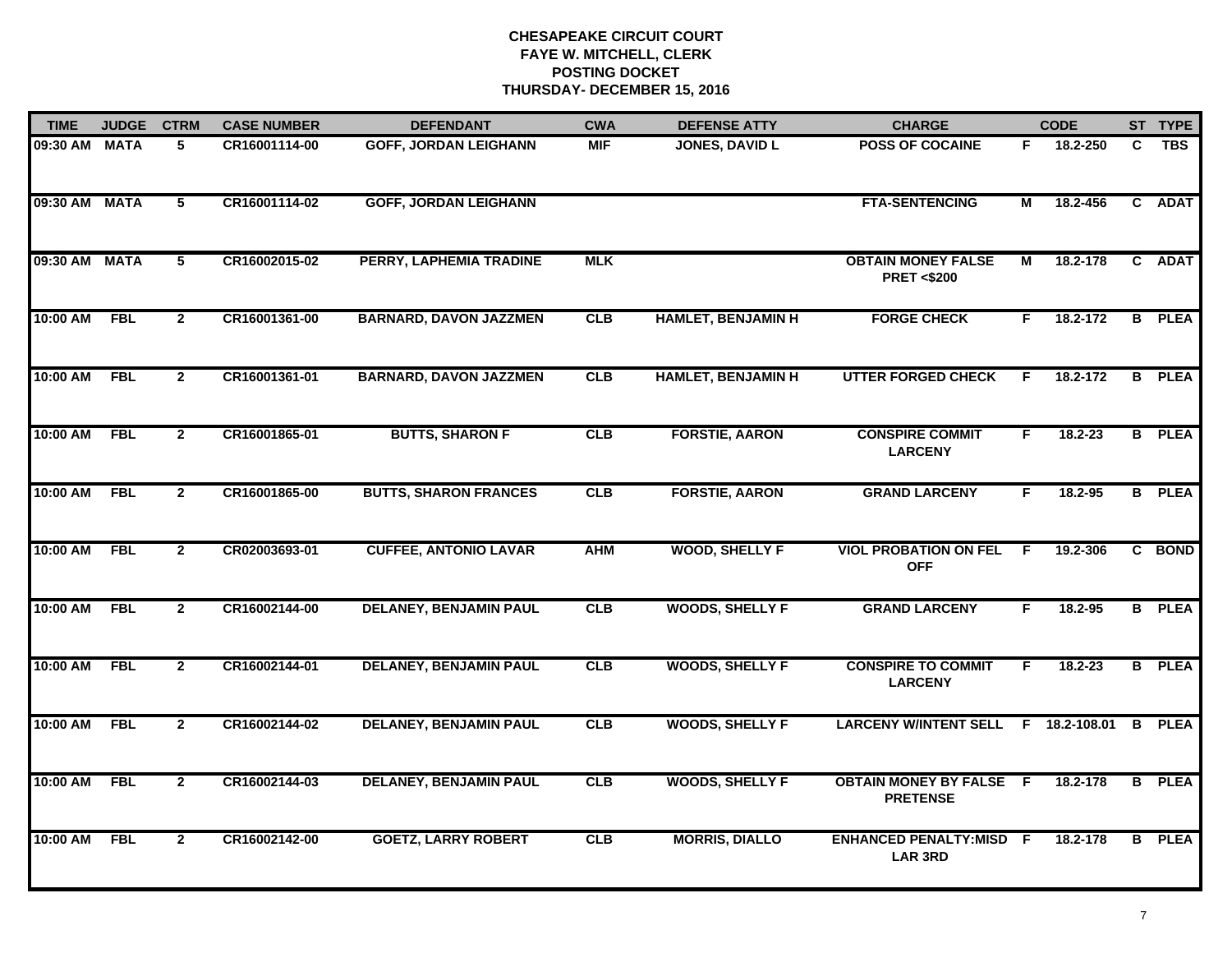| <b>TIME</b> | <b>JUDGE</b> | <b>CTRM</b>    | <b>CASE NUMBER</b> | <b>DEFENDANT</b>               | <b>CWA</b> | <b>DEFENSE ATTY</b>       | <b>CHARGE</b>                                      |                         | <b>CODE</b> |                | ST TYPE       |
|-------------|--------------|----------------|--------------------|--------------------------------|------------|---------------------------|----------------------------------------------------|-------------------------|-------------|----------------|---------------|
| 09:30 AM    | <b>MATA</b>  | 5              | CR16001114-00      | <b>GOFF, JORDAN LEIGHANN</b>   | <b>MIF</b> | <b>JONES, DAVID L</b>     | <b>POSS OF COCAINE</b>                             | F.                      | 18.2-250    | C.             | <b>TBS</b>    |
| 09:30 AM    | <b>MATA</b>  | $\overline{5}$ | CR16001114-02      | <b>GOFF, JORDAN LEIGHANN</b>   |            |                           | <b>FTA-SENTENCING</b>                              | М                       | 18.2-456    |                | C ADAT        |
| 09:30 AM    | <b>MATA</b>  | $\overline{5}$ | CR16002015-02      | <b>PERRY, LAPHEMIA TRADINE</b> | <b>MLK</b> |                           | <b>OBTAIN MONEY FALSE</b><br><b>PRET &lt;\$200</b> | $\overline{\mathsf{M}}$ | 18.2-178    |                | C ADAT        |
| 10:00 AM    | <b>FBL</b>   | $\mathbf{2}$   | CR16001361-00      | <b>BARNARD, DAVON JAZZMEN</b>  | CLB        | <b>HAMLET, BENJAMIN H</b> | <b>FORGE CHECK</b>                                 | F.                      | 18.2-172    | B              | <b>PLEA</b>   |
| 10:00 AM    | <b>FBL</b>   | $\mathbf{2}$   | CR16001361-01      | <b>BARNARD, DAVON JAZZMEN</b>  | CLB        | <b>HAMLET, BENJAMIN H</b> | <b>UTTER FORGED CHECK</b>                          | F.                      | 18.2-172    | B              | <b>PLEA</b>   |
| 10:00 AM    | <b>FBL</b>   | $\mathbf{2}$   | CR16001865-01      | <b>BUTTS, SHARON F</b>         | <b>CLB</b> | <b>FORSTIE, AARON</b>     | <b>CONSPIRE COMMIT</b><br><b>LARCENY</b>           | F.                      | $18.2 - 23$ |                | <b>B</b> PLEA |
| 10:00 AM    | <b>FBL</b>   | $\mathbf{2}$   | CR16001865-00      | <b>BUTTS, SHARON FRANCES</b>   | CLB        | <b>FORSTIE, AARON</b>     | <b>GRAND LARCENY</b>                               | F.                      | 18.2-95     |                | <b>B</b> PLEA |
| 10:00 AM    | <b>FBL</b>   | $\overline{2}$ | CR02003693-01      | <b>CUFFEE, ANTONIO LAVAR</b>   | <b>AHM</b> | <b>WOOD, SHELLY F</b>     | <b>VIOL PROBATION ON FEL</b><br><b>OFF</b>         | F                       | 19.2-306    |                | C BOND        |
| 10:00 AM    | <b>FBL</b>   | $\mathbf{2}$   | CR16002144-00      | <b>DELANEY, BENJAMIN PAUL</b>  | CLB        | <b>WOODS, SHELLY F</b>    | <b>GRAND LARCENY</b>                               | F                       | $18.2 - 95$ |                | <b>B</b> PLEA |
| 10:00 AM    | <b>FBL</b>   | $\overline{2}$ | CR16002144-01      | <b>DELANEY, BENJAMIN PAUL</b>  | CLB        | <b>WOODS, SHELLY F</b>    | <b>CONSPIRE TO COMMIT</b><br><b>LARCENY</b>        | F                       | $18.2 - 23$ |                | <b>B</b> PLEA |
| 10:00 AM    | <b>FBL</b>   | $\mathbf{2}$   | CR16002144-02      | <b>DELANEY, BENJAMIN PAUL</b>  | <b>CLB</b> | <b>WOODS, SHELLY F</b>    | LARCENY W/INTENT SELL F 18.2-108.01                |                         |             | B              | <b>PLEA</b>   |
| 10:00 AM    | <b>FBL</b>   | $\overline{2}$ | CR16002144-03      | <b>DELANEY, BENJAMIN PAUL</b>  | CLB        | <b>WOODS, SHELLY F</b>    | <b>OBTAIN MONEY BY FALSE F</b><br><b>PRETENSE</b>  |                         | 18.2-178    | $\overline{B}$ | <b>PLEA</b>   |
| 10:00 AM    | <b>FBL</b>   | $\overline{2}$ | CR16002142-00      | <b>GOETZ, LARRY ROBERT</b>     | CLB        | <b>MORRIS, DIALLO</b>     | <b>ENHANCED PENALTY:MISD F</b><br><b>LAR 3RD</b>   |                         | 18.2-178    | $\overline{B}$ | <b>PLEA</b>   |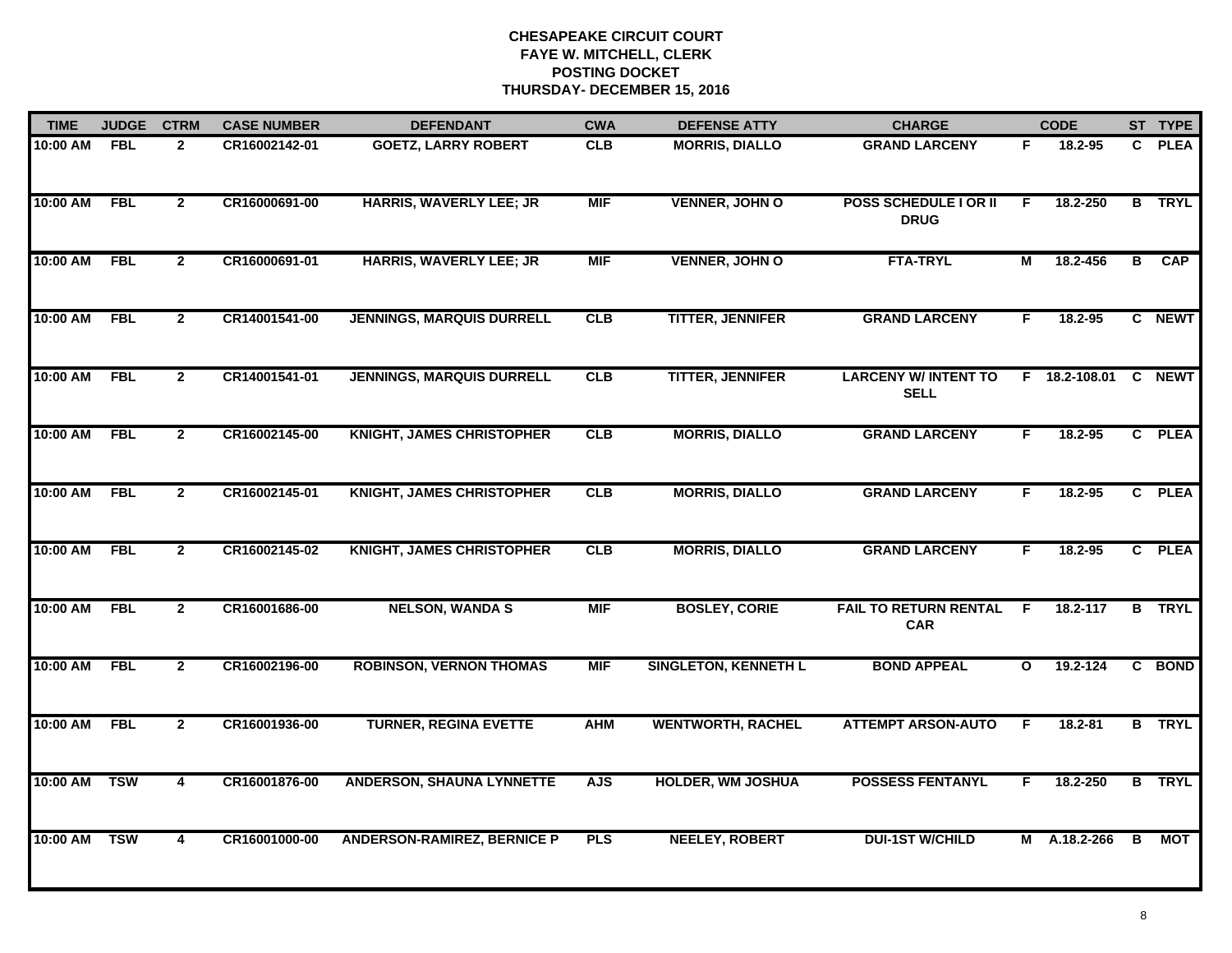| <b>TIME</b> | <b>JUDGE</b> | <b>CTRM</b>    | <b>CASE NUMBER</b> | <b>DEFENDANT</b>                   | <b>CWA</b> | <b>DEFENSE ATTY</b>         | <b>CHARGE</b>                               |              | <b>CODE</b>   |                | ST TYPE       |
|-------------|--------------|----------------|--------------------|------------------------------------|------------|-----------------------------|---------------------------------------------|--------------|---------------|----------------|---------------|
| 10:00 AM    | <b>FBL</b>   | $\overline{2}$ | CR16002142-01      | <b>GOETZ, LARRY ROBERT</b>         | <b>CLB</b> | <b>MORRIS, DIALLO</b>       | <b>GRAND LARCENY</b>                        | F.           | 18.2-95       |                | C PLEA        |
| 10:00 AM    | <b>FBL</b>   | $\overline{2}$ | CR16000691-00      | <b>HARRIS, WAVERLY LEE; JR</b>     | <b>MIF</b> | <b>VENNER, JOHN O</b>       | <b>POSS SCHEDULE I OR II</b><br><b>DRUG</b> | F            | 18.2-250      |                | <b>B</b> TRYL |
| 10:00 AM    | <b>FBL</b>   | $\overline{2}$ | CR16000691-01      | <b>HARRIS, WAVERLY LEE; JR</b>     | <b>MIF</b> | <b>VENNER, JOHN O</b>       | <b>FTA-TRYL</b>                             | М            | 18.2-456      | $\overline{B}$ | <b>CAP</b>    |
| 10:00 AM    | <b>FBL</b>   | $\mathbf{2}$   | CR14001541-00      | <b>JENNINGS, MARQUIS DURRELL</b>   | <b>CLB</b> | <b>TITTER, JENNIFER</b>     | <b>GRAND LARCENY</b>                        | F.           | 18.2-95       |                | C NEWT        |
| 10:00 AM    | <b>FBL</b>   | $\mathbf{2}$   | CR14001541-01      | <b>JENNINGS, MARQUIS DURRELL</b>   | CLB        | <b>TITTER, JENNIFER</b>     | <b>LARCENY W/INTENT TO</b><br><b>SELL</b>   |              | F 18.2-108.01 |                | C NEWT        |
| 10:00 AM    | <b>FBL</b>   | $\mathbf{2}$   | CR16002145-00      | <b>KNIGHT, JAMES CHRISTOPHER</b>   | CLB        | <b>MORRIS, DIALLO</b>       | <b>GRAND LARCENY</b>                        | F.           | 18.2-95       |                | C PLEA        |
| 10:00 AM    | <b>FBL</b>   | $\overline{2}$ | CR16002145-01      | <b>KNIGHT, JAMES CHRISTOPHER</b>   | CLB        | <b>MORRIS, DIALLO</b>       | <b>GRAND LARCENY</b>                        | F            | 18.2-95       |                | C PLEA        |
| 10:00 AM    | <b>FBL</b>   | $\mathbf{2}$   | CR16002145-02      | <b>KNIGHT, JAMES CHRISTOPHER</b>   | CLB        | <b>MORRIS, DIALLO</b>       | <b>GRAND LARCENY</b>                        | F            | 18.2-95       |                | C PLEA        |
| 10:00 AM    | <b>FBL</b>   | $\mathbf{2}$   | CR16001686-00      | <b>NELSON, WANDA S</b>             | <b>MIF</b> | <b>BOSLEY, CORIE</b>        | <b>FAIL TO RETURN RENTAL</b><br><b>CAR</b>  | E            | 18.2-117      | в              | <b>TRYL</b>   |
| 10:00 AM    | <b>FBL</b>   | $\overline{2}$ | CR16002196-00      | <b>ROBINSON, VERNON THOMAS</b>     | <b>MIF</b> | <b>SINGLETON, KENNETH L</b> | <b>BOND APPEAL</b>                          | $\mathbf{o}$ | 19.2-124      |                | C BOND        |
| 10:00 AM    | <b>FBL</b>   | $\mathbf{2}$   | CR16001936-00      | <b>TURNER, REGINA EVETTE</b>       | <b>AHM</b> | <b>WENTWORTH, RACHEL</b>    | <b>ATTEMPT ARSON-AUTO</b>                   | F            | $18.2 - 81$   |                | <b>B</b> TRYL |
| 10:00 AM    | <b>TSW</b>   | 4              | CR16001876-00      | <b>ANDERSON, SHAUNA LYNNETTE</b>   | <b>AJS</b> | <b>HOLDER, WM JOSHUA</b>    | <b>POSSESS FENTANYL</b>                     | F            | 18.2-250      |                | <b>B</b> TRYL |
| 10:00 AM    | <b>TSW</b>   | $\overline{4}$ | CR16001000-00      | <b>ANDERSON-RAMIREZ, BERNICE P</b> | <b>PLS</b> | <b>NEELEY, ROBERT</b>       | <b>DUI-1ST W/CHILD</b>                      |              | M A.18.2-266  | B              | МОТ           |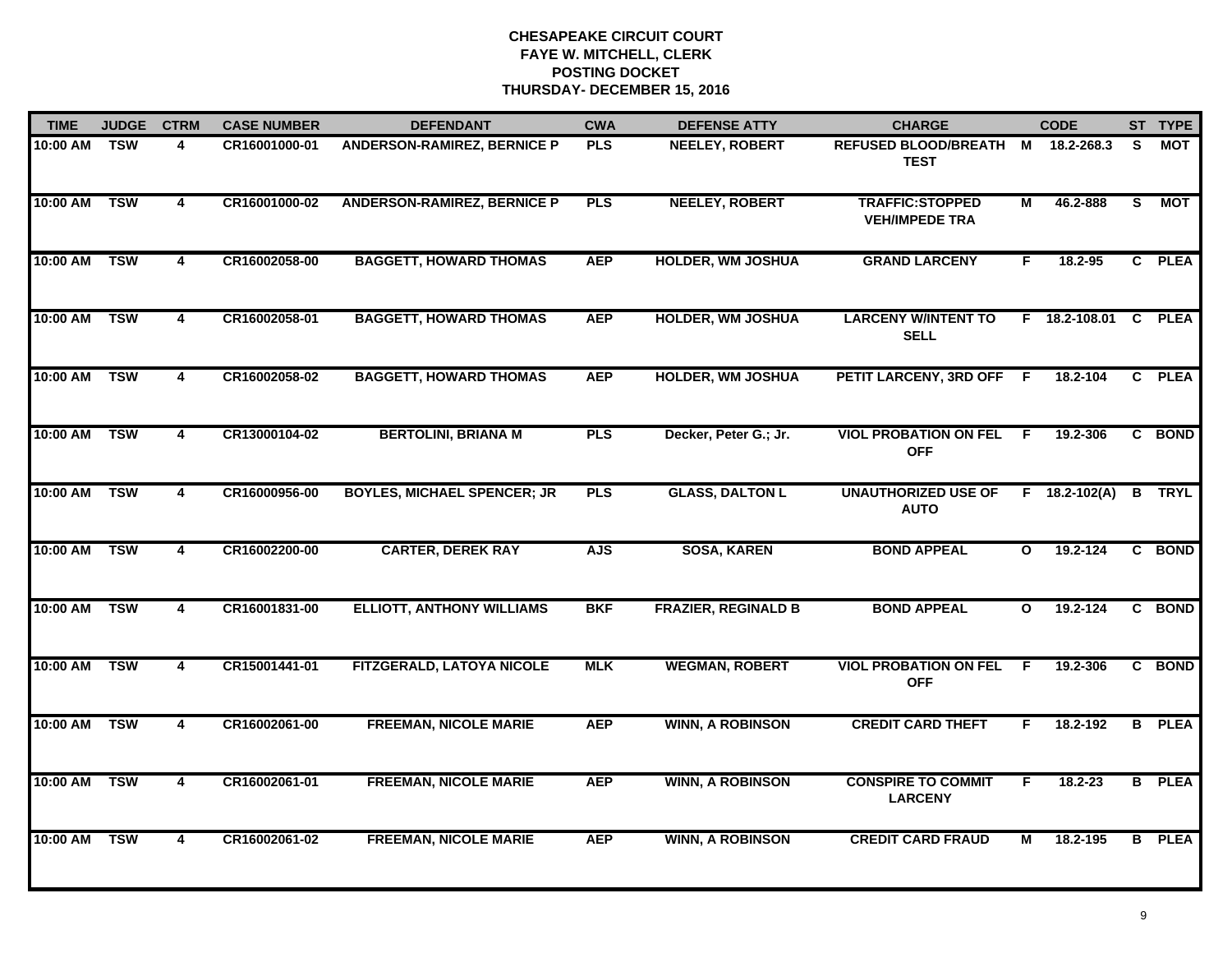| <b>TIME</b> | <b>JUDGE</b> | <b>CTRM</b>             | <b>CASE NUMBER</b> | <b>DEFENDANT</b>                   | <b>CWA</b> | <b>DEFENSE ATTY</b>        | <b>CHARGE</b>                                    |                         | <b>CODE</b>         |              | ST TYPE       |
|-------------|--------------|-------------------------|--------------------|------------------------------------|------------|----------------------------|--------------------------------------------------|-------------------------|---------------------|--------------|---------------|
| 10:00 AM    | <b>TSW</b>   | 4                       | CR16001000-01      | <b>ANDERSON-RAMIREZ, BERNICE P</b> | <b>PLS</b> | <b>NEELEY, ROBERT</b>      | REFUSED BLOOD/BREATH M 18.2-268.3<br><b>TEST</b> |                         |                     | S.           | MOT           |
| 10:00 AM    | <b>TSW</b>   | 4                       | CR16001000-02      | <b>ANDERSON-RAMIREZ, BERNICE P</b> | <b>PLS</b> | <b>NEELEY, ROBERT</b>      | <b>TRAFFIC:STOPPED</b><br><b>VEH/IMPEDE TRA</b>  | М                       | 46.2-888            | S.           | <b>MOT</b>    |
| 10:00 AM    | <b>TSW</b>   | $\overline{\mathbf{4}}$ | CR16002058-00      | <b>BAGGETT, HOWARD THOMAS</b>      | <b>AEP</b> | <b>HOLDER, WM JOSHUA</b>   | <b>GRAND LARCENY</b>                             | F.                      | 18.2-95             |              | C PLEA        |
| 10:00 AM    | <b>TSW</b>   | 4                       | CR16002058-01      | <b>BAGGETT, HOWARD THOMAS</b>      | <b>AEP</b> | <b>HOLDER, WM JOSHUA</b>   | <b>LARCENY W/INTENT TO</b><br><b>SELL</b>        |                         | F 18.2-108.01       | $\mathbf{c}$ | <b>PLEA</b>   |
| 10:00 AM    | <b>TSW</b>   | 4                       | CR16002058-02      | <b>BAGGETT, HOWARD THOMAS</b>      | <b>AEP</b> | <b>HOLDER, WM JOSHUA</b>   | PETIT LARCENY, 3RD OFF F                         |                         | 18.2-104            | C.           | <b>PLEA</b>   |
| 10:00 AM    | <b>TSW</b>   | 4                       | CR13000104-02      | <b>BERTOLINI, BRIANA M</b>         | <b>PLS</b> | Decker, Peter G.; Jr.      | <b>VIOL PROBATION ON FEL F</b><br><b>OFF</b>     |                         | 19.2-306            |              | C BOND        |
| 10:00 AM    | <b>TSW</b>   | 4                       | CR16000956-00      | <b>BOYLES, MICHAEL SPENCER; JR</b> | <b>PLS</b> | <b>GLASS, DALTON L</b>     | <b>UNAUTHORIZED USE OF</b><br><b>AUTO</b>        |                         | $F = 18.2 - 102(A)$ |              | <b>B</b> TRYL |
| 10:00 AM    | <b>TSW</b>   | $\overline{4}$          | CR16002200-00      | <b>CARTER, DEREK RAY</b>           | <b>AJS</b> | <b>SOSA, KAREN</b>         | <b>BOND APPEAL</b>                               | $\overline{\mathbf{o}}$ | 19.2-124            |              | C BOND        |
| 10:00 AM    | <b>TSW</b>   | 4                       | CR16001831-00      | <b>ELLIOTT, ANTHONY WILLIAMS</b>   | <b>BKF</b> | <b>FRAZIER, REGINALD B</b> | <b>BOND APPEAL</b>                               | $\mathbf{o}$            | 19.2-124            |              | C BOND        |
| 10:00 AM    | <b>TSW</b>   | 4                       | CR15001441-01      | FITZGERALD, LATOYA NICOLE          | <b>MLK</b> | <b>WEGMAN, ROBERT</b>      | <b>VIOL PROBATION ON FEL</b><br><b>OFF</b>       | -F                      | 19.2-306            |              | C BOND        |
| 10:00 AM    | <b>TSW</b>   | 4                       | CR16002061-00      | <b>FREEMAN, NICOLE MARIE</b>       | <b>AEP</b> | <b>WINN, A ROBINSON</b>    | <b>CREDIT CARD THEFT</b>                         | F                       | 18.2-192            |              | <b>B</b> PLEA |
| 10:00 AM    | <b>TSW</b>   | 4                       | CR16002061-01      | <b>FREEMAN, NICOLE MARIE</b>       | <b>AEP</b> | <b>WINN, A ROBINSON</b>    | <b>CONSPIRE TO COMMIT</b><br><b>LARCENY</b>      | F.                      | $18.2 - 23$         |              | <b>B</b> PLEA |
| 10:00 AM    | <b>TSW</b>   | $\overline{\mathbf{4}}$ | CR16002061-02      | <b>FREEMAN, NICOLE MARIE</b>       | <b>AEP</b> | <b>WINN, A ROBINSON</b>    | <b>CREDIT CARD FRAUD</b>                         | М                       | 18.2-195            |              | <b>B</b> PLEA |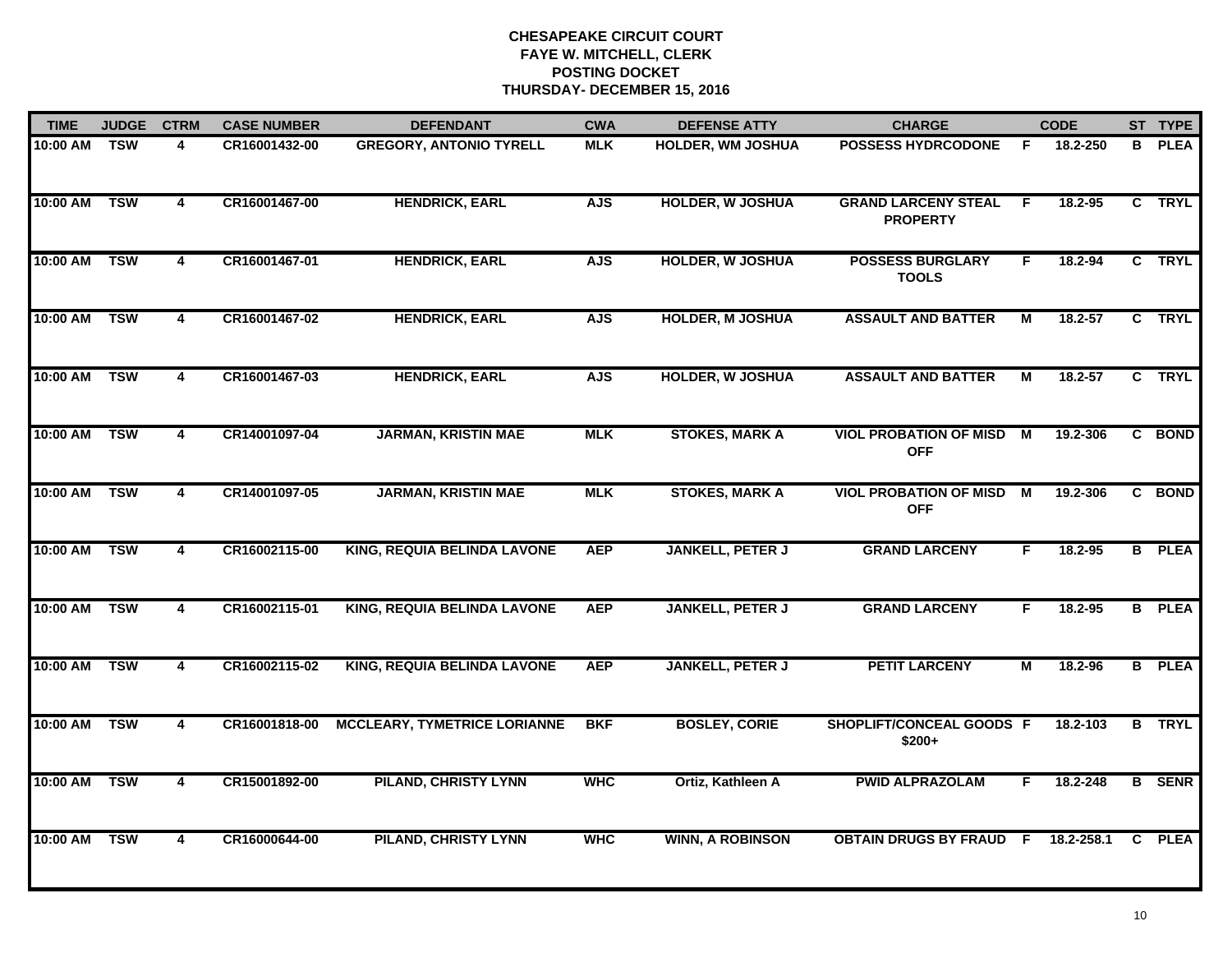| <b>TIME</b> | <b>JUDGE</b> | <b>CTRM</b>             | <b>CASE NUMBER</b> | <b>DEFENDANT</b>                    | <b>CWA</b> | <b>DEFENSE ATTY</b>      | <b>CHARGE</b>                                 |    | <b>CODE</b> |    | ST TYPE       |
|-------------|--------------|-------------------------|--------------------|-------------------------------------|------------|--------------------------|-----------------------------------------------|----|-------------|----|---------------|
| 10:00 AM    | <b>TSW</b>   | 4                       | CR16001432-00      | <b>GREGORY, ANTONIO TYRELL</b>      | <b>MLK</b> | <b>HOLDER, WM JOSHUA</b> | <b>POSSESS HYDRCODONE</b>                     | E  | 18.2-250    | B. | <b>PLEA</b>   |
| 10:00 AM    | <b>TSW</b>   | 4                       | CR16001467-00      | <b>HENDRICK, EARL</b>               | <b>AJS</b> | <b>HOLDER, W JOSHUA</b>  | <b>GRAND LARCENY STEAL</b><br><b>PROPERTY</b> | F. | 18.2-95     |    | C TRYL        |
| 10:00 AM    | <b>TSW</b>   | $\overline{\mathbf{4}}$ | CR16001467-01      | <b>HENDRICK, EARL</b>               | <b>AJS</b> | <b>HOLDER, W JOSHUA</b>  | <b>POSSESS BURGLARY</b><br><b>TOOLS</b>       | F. | 18.2-94     |    | C TRYL        |
| 10:00 AM    | <b>TSW</b>   | 4                       | CR16001467-02      | <b>HENDRICK, EARL</b>               | <b>AJS</b> | <b>HOLDER, M JOSHUA</b>  | <b>ASSAULT AND BATTER</b>                     | М  | 18.2-57     |    | C TRYL        |
| 10:00 AM    | <b>TSW</b>   | 4                       | CR16001467-03      | <b>HENDRICK, EARL</b>               | <b>AJS</b> | <b>HOLDER, W JOSHUA</b>  | <b>ASSAULT AND BATTER</b>                     | М  | 18.2-57     |    | C TRYL        |
| 10:00 AM    | <b>TSW</b>   | 4                       | CR14001097-04      | <b>JARMAN, KRISTIN MAE</b>          | <b>MLK</b> | <b>STOKES, MARK A</b>    | <b>VIOL PROBATION OF MISD M</b><br><b>OFF</b> |    | 19.2-306    |    | C BOND        |
| 10:00 AM    | <b>TSW</b>   | 4                       | CR14001097-05      | <b>JARMAN, KRISTIN MAE</b>          | <b>MLK</b> | <b>STOKES, MARK A</b>    | <b>VIOL PROBATION OF MISD</b><br><b>OFF</b>   | M  | 19.2-306    |    | C BOND        |
| 10:00 AM    | <b>TSW</b>   | $\overline{4}$          | CR16002115-00      | <b>KING, REQUIA BELINDA LAVONE</b>  | <b>AEP</b> | <b>JANKELL, PETER J</b>  | <b>GRAND LARCENY</b>                          | F  | 18.2-95     |    | <b>B</b> PLEA |
| 10:00 AM    | <b>TSW</b>   | 4                       | CR16002115-01      | <b>KING, REQUIA BELINDA LAVONE</b>  | <b>AEP</b> | <b>JANKELL, PETER J</b>  | <b>GRAND LARCENY</b>                          | F. | 18.2-95     |    | <b>B</b> PLEA |
| 10:00 AM    | <b>TSW</b>   | 4                       | CR16002115-02      | <b>KING, REQUIA BELINDA LAVONE</b>  | <b>AEP</b> | <b>JANKELL, PETER J</b>  | <b>PETIT LARCENY</b>                          | М  | 18.2-96     |    | <b>B</b> PLEA |
| 10:00 AM    | <b>TSW</b>   | 4                       | CR16001818-00      | <b>MCCLEARY, TYMETRICE LORIANNE</b> | <b>BKF</b> | <b>BOSLEY, CORIE</b>     | SHOPLIFT/CONCEAL GOODS F<br>$$200+$           |    | 18.2-103    |    | <b>B</b> TRYL |
| 10:00 AM    | <b>TSW</b>   | 4                       | CR15001892-00      | <b>PILAND, CHRISTY LYNN</b>         | <b>WHC</b> | Ortiz, Kathleen A        | <b>PWID ALPRAZOLAM</b>                        | F. | 18.2-248    |    | <b>B</b> SENR |
| 10:00 AM    | <b>TSW</b>   | $\overline{\mathbf{4}}$ | CR16000644-00      | <b>PILAND, CHRISTY LYNN</b>         | <b>WHC</b> | <b>WINN, A ROBINSON</b>  | <b>OBTAIN DRUGS BY FRAUD F</b>                |    | 18.2-258.1  | C  | <b>PLEA</b>   |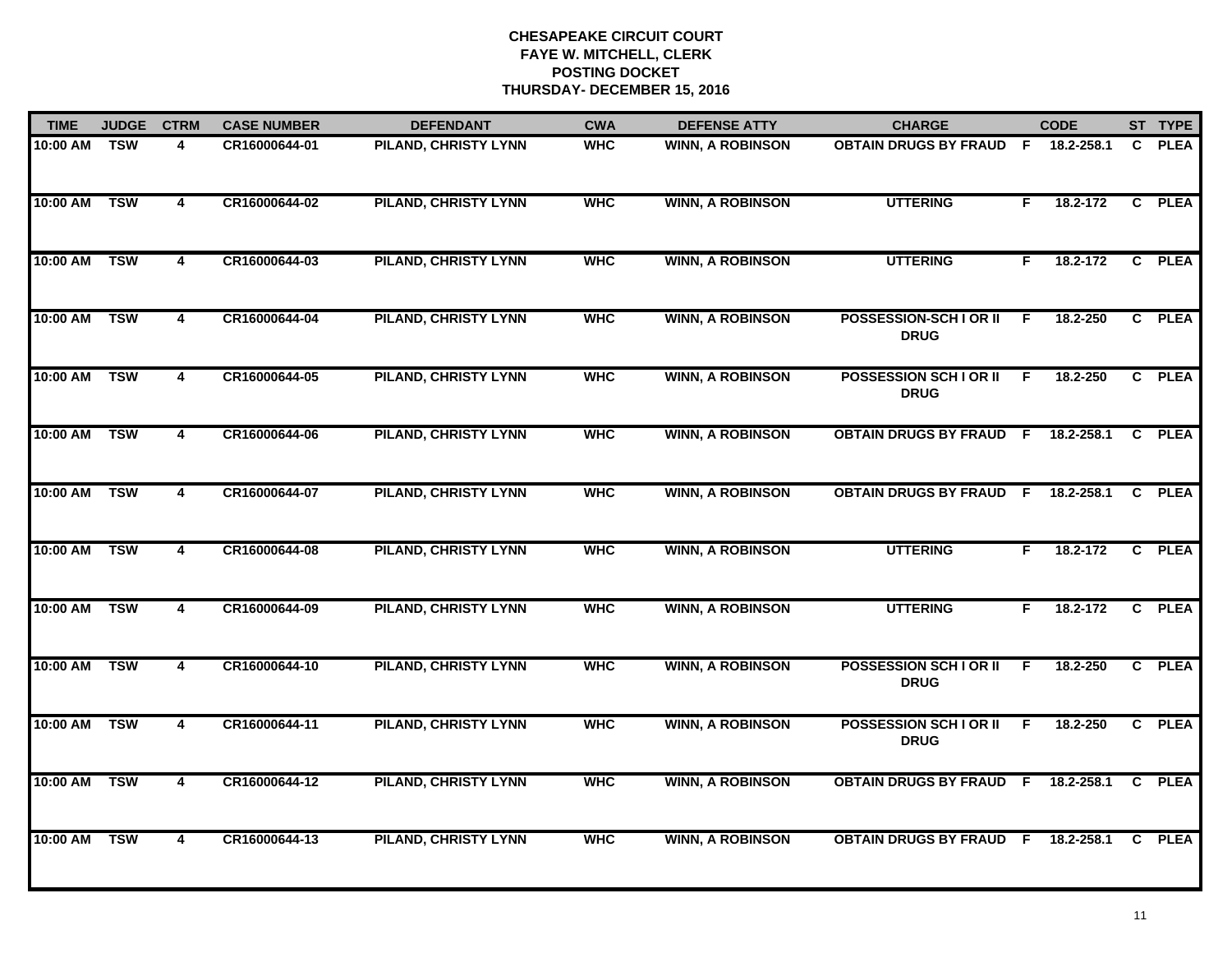| <b>TIME</b> | <b>JUDGE</b> | <b>CTRM</b>             | <b>CASE NUMBER</b> | <b>DEFENDANT</b>            | <b>CWA</b> | <b>DEFENSE ATTY</b>     | <b>CHARGE</b>                                |    | <b>CODE</b> |    | ST TYPE     |
|-------------|--------------|-------------------------|--------------------|-----------------------------|------------|-------------------------|----------------------------------------------|----|-------------|----|-------------|
| 10:00 AM    | <b>TSW</b>   | 4                       | CR16000644-01      | PILAND, CHRISTY LYNN        | <b>WHC</b> | <b>WINN, A ROBINSON</b> | <b>OBTAIN DRUGS BY FRAUD F</b>               |    | 18.2-258.1  | C. | <b>PLEA</b> |
| 10:00 AM    | <b>TSW</b>   | $\overline{4}$          | CR16000644-02      | <b>PILAND, CHRISTY LYNN</b> | <b>WHC</b> | <b>WINN, A ROBINSON</b> | <b>UTTERING</b>                              | F. | 18.2-172    |    | C PLEA      |
| 10:00 AM    | <b>TSW</b>   | $\overline{4}$          | CR16000644-03      | <b>PILAND, CHRISTY LYNN</b> | <b>WHC</b> | <b>WINN, A ROBINSON</b> | <b>UTTERING</b>                              | F. | 18.2-172    |    | C PLEA      |
| 10:00 AM    | <b>TSW</b>   | 4                       | CR16000644-04      | <b>PILAND, CHRISTY LYNN</b> | <b>WHC</b> | <b>WINN, A ROBINSON</b> | POSSESSION-SCH I OR II<br><b>DRUG</b>        | F  | 18.2-250    |    | C PLEA      |
| 10:00 AM    | <b>TSW</b>   | 4                       | CR16000644-05      | <b>PILAND, CHRISTY LYNN</b> | <b>WHC</b> | <b>WINN, A ROBINSON</b> | <b>POSSESSION SCH I OR II</b><br><b>DRUG</b> | E  | 18.2-250    |    | C PLEA      |
| 10:00 AM    | <b>TSW</b>   | 4                       | CR16000644-06      | <b>PILAND, CHRISTY LYNN</b> | <b>WHC</b> | <b>WINN, A ROBINSON</b> | OBTAIN DRUGS BY FRAUD F 18.2-258.1           |    |             |    | C PLEA      |
| 10:00 AM    | <b>TSW</b>   | $\overline{4}$          | CR16000644-07      | <b>PILAND, CHRISTY LYNN</b> | <b>WHC</b> | <b>WINN, A ROBINSON</b> | <b>OBTAIN DRUGS BY FRAUD F</b>               |    | 18.2-258.1  |    | C PLEA      |
| 10:00 AM    | <b>TSW</b>   | $\overline{4}$          | CR16000644-08      | <b>PILAND, CHRISTY LYNN</b> | <b>WHC</b> | <b>WINN, A ROBINSON</b> | <b>UTTERING</b>                              | F. | 18.2-172    |    | C PLEA      |
| 10:00 AM    | <b>TSW</b>   | 4                       | CR16000644-09      | <b>PILAND, CHRISTY LYNN</b> | <b>WHC</b> | <b>WINN, A ROBINSON</b> | <b>UTTERING</b>                              | F. | 18.2-172    |    | C PLEA      |
| 10:00 AM    | <b>TSW</b>   | 4                       | CR16000644-10      | <b>PILAND, CHRISTY LYNN</b> | <b>WHC</b> | <b>WINN, A ROBINSON</b> | <b>POSSESSION SCH I OR II</b><br><b>DRUG</b> | E  | 18.2-250    |    | C PLEA      |
| 10:00 AM    | <b>TSW</b>   | 4                       | CR16000644-11      | <b>PILAND, CHRISTY LYNN</b> | <b>WHC</b> | <b>WINN, A ROBINSON</b> | <b>POSSESSION SCH I OR II</b><br><b>DRUG</b> | F  | 18.2-250    |    | C PLEA      |
| 10:00 AM    | <b>TSW</b>   | 4                       | CR16000644-12      | <b>PILAND, CHRISTY LYNN</b> | <b>WHC</b> | <b>WINN, A ROBINSON</b> | <b>OBTAIN DRUGS BY FRAUD F</b>               |    | 18.2-258.1  | C  | <b>PLEA</b> |
| 10:00 AM    | <b>TSW</b>   | $\overline{\mathbf{4}}$ | CR16000644-13      | <b>PILAND, CHRISTY LYNN</b> | <b>WHC</b> | <b>WINN, A ROBINSON</b> | <b>OBTAIN DRUGS BY FRAUD F</b>               |    | 18.2-258.1  |    | C PLEA      |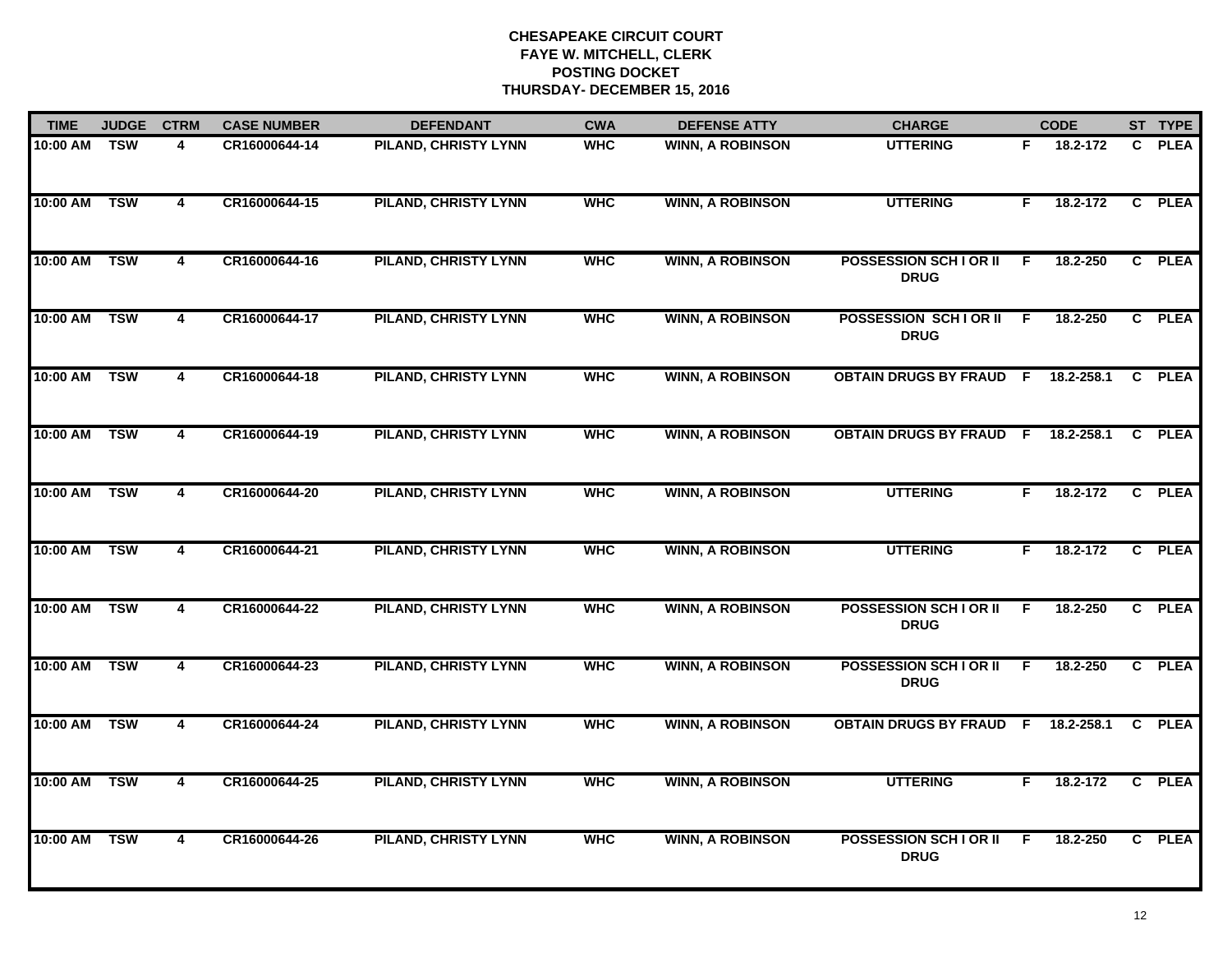| <b>TIME</b> | <b>JUDGE</b> | <b>CTRM</b>             | <b>CASE NUMBER</b> | <b>DEFENDANT</b>            | <b>CWA</b> | <b>DEFENSE ATTY</b>     | <b>CHARGE</b>                                |    | <b>CODE</b> |              | ST TYPE     |
|-------------|--------------|-------------------------|--------------------|-----------------------------|------------|-------------------------|----------------------------------------------|----|-------------|--------------|-------------|
| 10:00 AM    | <b>TSW</b>   | 4                       | CR16000644-14      | PILAND, CHRISTY LYNN        | <b>WHC</b> | <b>WINN, A ROBINSON</b> | <b>UTTERING</b>                              |    | F 18.2-172  | $\mathbf{c}$ | <b>PLEA</b> |
| 10:00 AM    | <b>TSW</b>   | $\overline{4}$          | CR16000644-15      | <b>PILAND, CHRISTY LYNN</b> | <b>WHC</b> | <b>WINN, A ROBINSON</b> | <b>UTTERING</b>                              | F. | 18.2-172    |              | C PLEA      |
| 10:00 AM    | <b>TSW</b>   | $\overline{4}$          | CR16000644-16      | <b>PILAND, CHRISTY LYNN</b> | <b>WHC</b> | <b>WINN, A ROBINSON</b> | <b>POSSESSION SCH I OR II</b><br><b>DRUG</b> | F  | 18.2-250    |              | C PLEA      |
| 10:00 AM    | <b>TSW</b>   | 4                       | CR16000644-17      | <b>PILAND, CHRISTY LYNN</b> | <b>WHC</b> | <b>WINN, A ROBINSON</b> | POSSESSION SCHIOR II<br><b>DRUG</b>          | F. | 18.2-250    |              | C PLEA      |
| 10:00 AM    | <b>TSW</b>   | 4                       | CR16000644-18      | <b>PILAND, CHRISTY LYNN</b> | <b>WHC</b> | <b>WINN, A ROBINSON</b> | OBTAIN DRUGS BY FRAUD F 18.2-258.1           |    |             | $\mathbf{C}$ | <b>PLEA</b> |
| 10:00 AM    | <b>TSW</b>   | 4                       | CR16000644-19      | <b>PILAND, CHRISTY LYNN</b> | <b>WHC</b> | <b>WINN, A ROBINSON</b> | OBTAIN DRUGS BY FRAUD F 18.2-258.1           |    |             |              | C PLEA      |
| 10:00 AM    | <b>TSW</b>   | $\overline{4}$          | CR16000644-20      | <b>PILAND, CHRISTY LYNN</b> | <b>WHC</b> | <b>WINN, A ROBINSON</b> | <b>UTTERING</b>                              | F. | 18.2-172    |              | C PLEA      |
| 10:00 AM    | <b>TSW</b>   | $\overline{4}$          | CR16000644-21      | <b>PILAND, CHRISTY LYNN</b> | <b>WHC</b> | <b>WINN, A ROBINSON</b> | <b>UTTERING</b>                              | F. | 18.2-172    |              | C PLEA      |
| 10:00 AM    | <b>TSW</b>   | 4                       | CR16000644-22      | <b>PILAND, CHRISTY LYNN</b> | <b>WHC</b> | <b>WINN, A ROBINSON</b> | <b>POSSESSION SCH I OR II</b><br><b>DRUG</b> | F  | 18.2-250    |              | C PLEA      |
| 10:00 AM    | <b>TSW</b>   | 4                       | CR16000644-23      | <b>PILAND, CHRISTY LYNN</b> | <b>WHC</b> | <b>WINN, A ROBINSON</b> | <b>POSSESSION SCH I OR II</b><br><b>DRUG</b> | E  | 18.2-250    |              | C PLEA      |
| 10:00 AM    | <b>TSW</b>   | 4                       | CR16000644-24      | <b>PILAND, CHRISTY LYNN</b> | <b>WHC</b> | <b>WINN, A ROBINSON</b> | <b>OBTAIN DRUGS BY FRAUD F</b>               |    | 18.2-258.1  |              | C PLEA      |
| 10:00 AM    | <b>TSW</b>   | 4                       | CR16000644-25      | <b>PILAND, CHRISTY LYNN</b> | <b>WHC</b> | <b>WINN, A ROBINSON</b> | <b>UTTERING</b>                              | F. | 18.2-172    |              | C PLEA      |
| 10:00 AM    | <b>TSW</b>   | $\overline{\mathbf{4}}$ | CR16000644-26      | <b>PILAND, CHRISTY LYNN</b> | <b>WHC</b> | <b>WINN, A ROBINSON</b> | <b>POSSESSION SCH I OR II</b><br><b>DRUG</b> | E  | 18.2-250    |              | C PLEA      |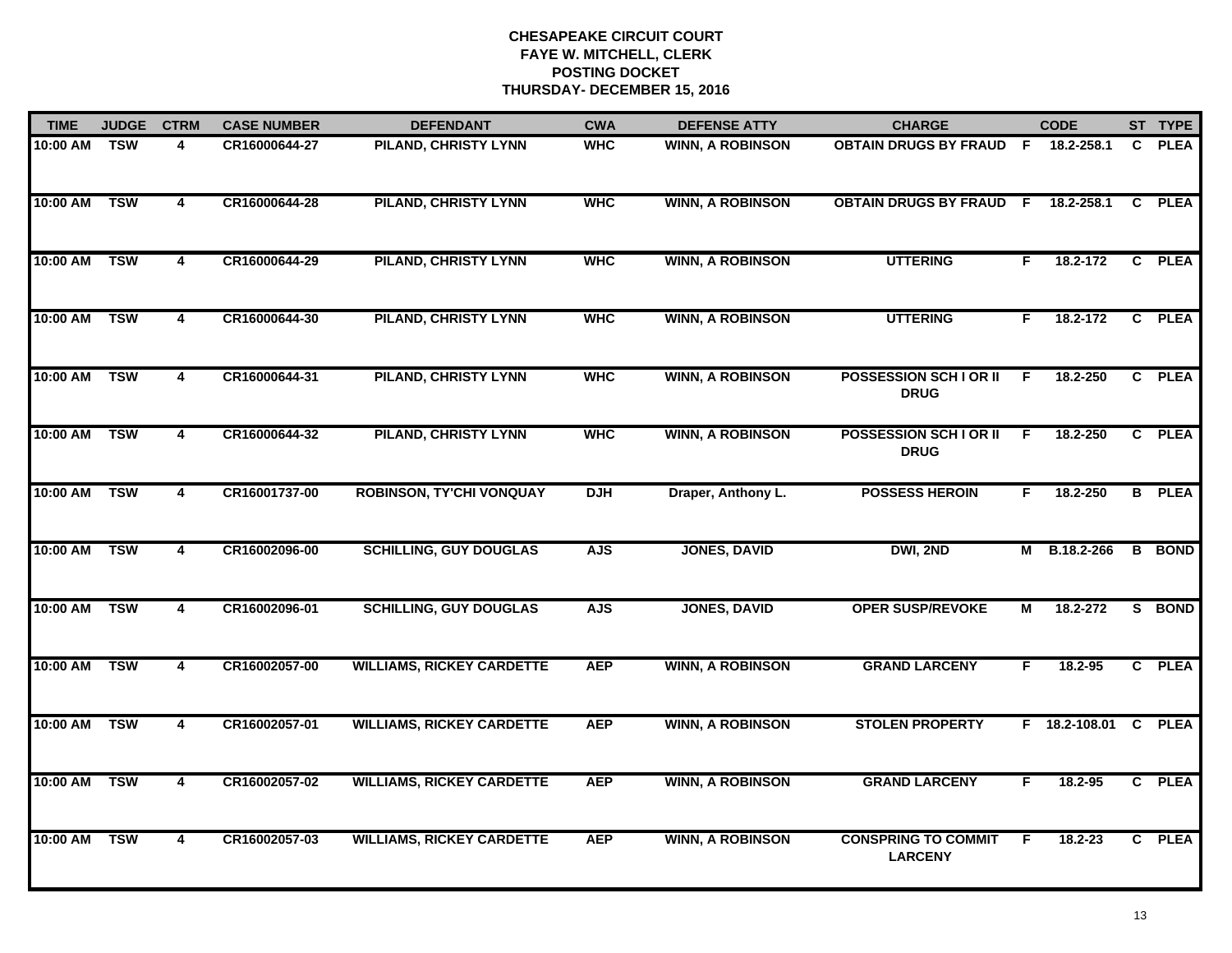| <b>TIME</b> | <b>JUDGE</b> | <b>CTRM</b>    | <b>CASE NUMBER</b> | <b>DEFENDANT</b>                 | <b>CWA</b> | <b>DEFENSE ATTY</b>     | <b>CHARGE</b>                                |    | <b>CODE</b>          |    | ST TYPE       |
|-------------|--------------|----------------|--------------------|----------------------------------|------------|-------------------------|----------------------------------------------|----|----------------------|----|---------------|
| 10:00 AM    | <b>TSW</b>   | 4              | CR16000644-27      | <b>PILAND, CHRISTY LYNN</b>      | <b>WHC</b> | <b>WINN, A ROBINSON</b> | <b>OBTAIN DRUGS BY FRAUD F</b>               |    | 18.2-258.1           | C. | <b>PLEA</b>   |
| 10:00 AM    | <b>TSW</b>   | $\overline{4}$ | CR16000644-28      | <b>PILAND, CHRISTY LYNN</b>      | <b>WHC</b> | <b>WINN, A ROBINSON</b> | <b>OBTAIN DRUGS BY FRAUD F</b>               |    | 18.2-258.1           |    | C PLEA        |
| 10:00 AM    | <b>TSW</b>   | $\overline{4}$ | CR16000644-29      | <b>PILAND, CHRISTY LYNN</b>      | <b>WHC</b> | <b>WINN, A ROBINSON</b> | <b>UTTERING</b>                              | F. | 18.2-172             |    | C PLEA        |
| 10:00 AM    | <b>TSW</b>   | 4              | CR16000644-30      | <b>PILAND, CHRISTY LYNN</b>      | <b>WHC</b> | <b>WINN, A ROBINSON</b> | <b>UTTERING</b>                              | F. | 18.2-172             |    | C PLEA        |
| 10:00 AM    | <b>TSW</b>   | 4              | CR16000644-31      | <b>PILAND, CHRISTY LYNN</b>      | <b>WHC</b> | <b>WINN, A ROBINSON</b> | <b>POSSESSION SCH I OR II</b><br><b>DRUG</b> | F. | 18.2-250             |    | C PLEA        |
| 10:00 AM    | <b>TSW</b>   | 4              | CR16000644-32      | <b>PILAND, CHRISTY LYNN</b>      | <b>WHC</b> | <b>WINN, A ROBINSON</b> | <b>POSSESSION SCH I OR II</b><br><b>DRUG</b> | E  | 18.2-250             |    | C PLEA        |
| 10:00 AM    | <b>TSW</b>   | $\overline{4}$ | CR16001737-00      | <b>ROBINSON, TY'CHI VONQUAY</b>  | <b>DJH</b> | Draper, Anthony L.      | <b>POSSESS HEROIN</b>                        | F  | 18.2-250             |    | <b>B</b> PLEA |
| 10:00 AM    | <b>TSW</b>   | 4              | CR16002096-00      | <b>SCHILLING, GUY DOUGLAS</b>    | <b>AJS</b> | <b>JONES, DAVID</b>     | DWI, 2ND                                     | М  | B.18.2-266           |    | <b>B</b> BOND |
| 10:00 AM    | <b>TSW</b>   | 4              | CR16002096-01      | <b>SCHILLING, GUY DOUGLAS</b>    | <b>AJS</b> | <b>JONES, DAVID</b>     | <b>OPER SUSP/REVOKE</b>                      | М  | 18.2-272             | S. | <b>BOND</b>   |
| 10:00 AM    | <b>TSW</b>   | 4              | CR16002057-00      | <b>WILLIAMS, RICKEY CARDETTE</b> | <b>AEP</b> | <b>WINN, A ROBINSON</b> | <b>GRAND LARCENY</b>                         | F  | $18.2 - 95$          |    | C PLEA        |
| 10:00 AM    | <b>TSW</b>   | $\overline{4}$ | CR16002057-01      | <b>WILLIAMS, RICKEY CARDETTE</b> | <b>AEP</b> | <b>WINN, A ROBINSON</b> | <b>STOLEN PROPERTY</b>                       |    | F 18.2-108.01 C PLEA |    |               |
| 10:00 AM    | <b>TSW</b>   | 4              | CR16002057-02      | <b>WILLIAMS, RICKEY CARDETTE</b> | <b>AEP</b> | <b>WINN, A ROBINSON</b> | <b>GRAND LARCENY</b>                         | F. | 18.2-95              |    | C PLEA        |
| 10:00 AM    | <b>TSW</b>   | 4              | CR16002057-03      | <b>WILLIAMS, RICKEY CARDETTE</b> | <b>AEP</b> | <b>WINN, A ROBINSON</b> | <b>CONSPRING TO COMMIT</b><br><b>LARCENY</b> | F  | 18.2-23              |    | C PLEA        |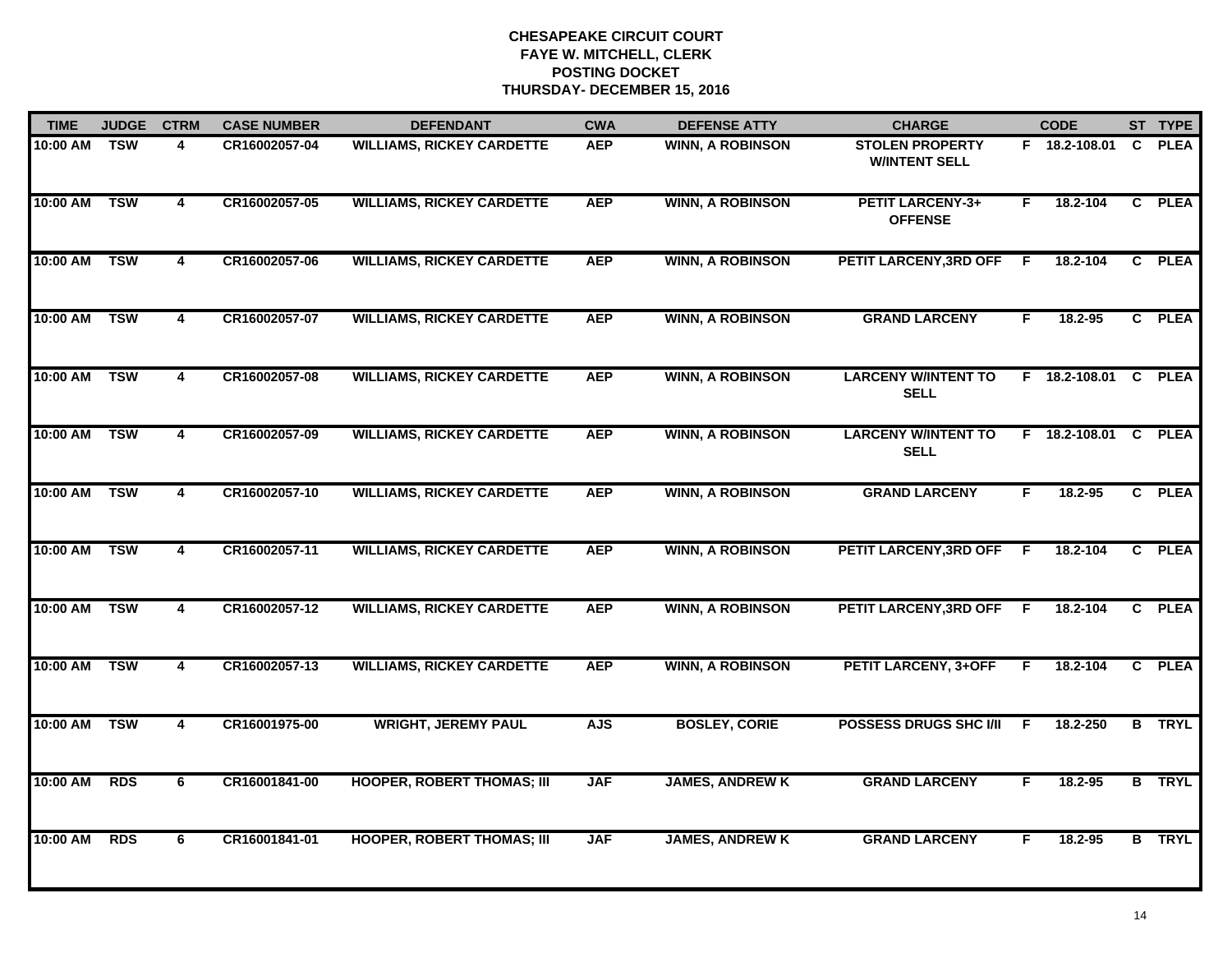| <b>TIME</b> | <b>JUDGE</b> | <b>CTRM</b>    | <b>CASE NUMBER</b> | <b>DEFENDANT</b>                  | <b>CWA</b> | <b>DEFENSE ATTY</b>     | <b>CHARGE</b>                                  |    | <b>CODE</b>          |    | ST TYPE       |
|-------------|--------------|----------------|--------------------|-----------------------------------|------------|-------------------------|------------------------------------------------|----|----------------------|----|---------------|
| 10:00 AM    | <b>TSW</b>   | 4              | CR16002057-04      | <b>WILLIAMS, RICKEY CARDETTE</b>  | <b>AEP</b> | <b>WINN, A ROBINSON</b> | <b>STOLEN PROPERTY</b><br><b>W/INTENT SELL</b> |    | F 18.2-108.01        | C. | <b>PLEA</b>   |
| 10:00 AM    | <b>TSW</b>   | $\overline{4}$ | CR16002057-05      | <b>WILLIAMS, RICKEY CARDETTE</b>  | <b>AEP</b> | <b>WINN, A ROBINSON</b> | <b>PETIT LARCENY-3+</b><br><b>OFFENSE</b>      | F  | 18.2-104             |    | C PLEA        |
| 10:00 AM    | <b>TSW</b>   | $\overline{4}$ | CR16002057-06      | <b>WILLIAMS, RICKEY CARDETTE</b>  | <b>AEP</b> | <b>WINN, A ROBINSON</b> | <b>PETIT LARCENY, 3RD OFF</b>                  | F. | 18.2-104             |    | C PLEA        |
| 10:00 AM    | <b>TSW</b>   | 4              | CR16002057-07      | <b>WILLIAMS, RICKEY CARDETTE</b>  | <b>AEP</b> | <b>WINN, A ROBINSON</b> | <b>GRAND LARCENY</b>                           | F. | 18.2-95              |    | C PLEA        |
| 10:00 AM    | <b>TSW</b>   | 4              | CR16002057-08      | <b>WILLIAMS, RICKEY CARDETTE</b>  | <b>AEP</b> | <b>WINN, A ROBINSON</b> | <b>LARCENY W/INTENT TO</b><br><b>SELL</b>      |    | F 18.2-108.01 C PLEA |    |               |
| 10:00 AM    | <b>TSW</b>   | 4              | CR16002057-09      | <b>WILLIAMS, RICKEY CARDETTE</b>  | <b>AEP</b> | <b>WINN, A ROBINSON</b> | <b>LARCENY W/INTENT TO</b><br><b>SELL</b>      |    | F 18.2-108.01 C      |    | <b>PLEA</b>   |
| 10:00 AM    | <b>TSW</b>   | $\overline{4}$ | CR16002057-10      | <b>WILLIAMS, RICKEY CARDETTE</b>  | <b>AEP</b> | <b>WINN, A ROBINSON</b> | <b>GRAND LARCENY</b>                           | F  | 18.2-95              |    | C PLEA        |
| 10:00 AM    | <b>TSW</b>   | 4              | CR16002057-11      | <b>WILLIAMS, RICKEY CARDETTE</b>  | <b>AEP</b> | <b>WINN, A ROBINSON</b> | <b>PETIT LARCENY, 3RD OFF</b>                  | F. | 18.2-104             |    | C PLEA        |
| 10:00 AM    | <b>TSW</b>   | 4              | CR16002057-12      | <b>WILLIAMS, RICKEY CARDETTE</b>  | <b>AEP</b> | <b>WINN, A ROBINSON</b> | PETIT LARCENY, 3RD OFF                         | F  | 18.2-104             |    | C PLEA        |
| 10:00 AM    | <b>TSW</b>   | 4              | CR16002057-13      | <b>WILLIAMS, RICKEY CARDETTE</b>  | <b>AEP</b> | <b>WINN, A ROBINSON</b> | <b>PETIT LARCENY, 3+OFF</b>                    | F. | 18.2-104             |    | C PLEA        |
| 10:00 AM    | <b>TSW</b>   | $\overline{4}$ | CR16001975-00      | <b>WRIGHT, JEREMY PAUL</b>        | <b>AJS</b> | <b>BOSLEY, CORIE</b>    | <b>POSSESS DRUGS SHC I/II</b>                  | -F | 18.2-250             |    | <b>B</b> TRYL |
| 10:00 AM    | <b>RDS</b>   | 6              | CR16001841-00      | <b>HOOPER, ROBERT THOMAS; III</b> | <b>JAF</b> | <b>JAMES, ANDREW K</b>  | <b>GRAND LARCENY</b>                           | F. | 18.2-95              |    | <b>B</b> TRYL |
| 10:00 AM    | <b>RDS</b>   | 6              | CR16001841-01      | <b>HOOPER, ROBERT THOMAS; III</b> | <b>JAF</b> | <b>JAMES, ANDREW K</b>  | <b>GRAND LARCENY</b>                           | F  | 18.2-95              |    | <b>B</b> TRYL |
|             |              |                |                    |                                   |            |                         |                                                |    |                      |    |               |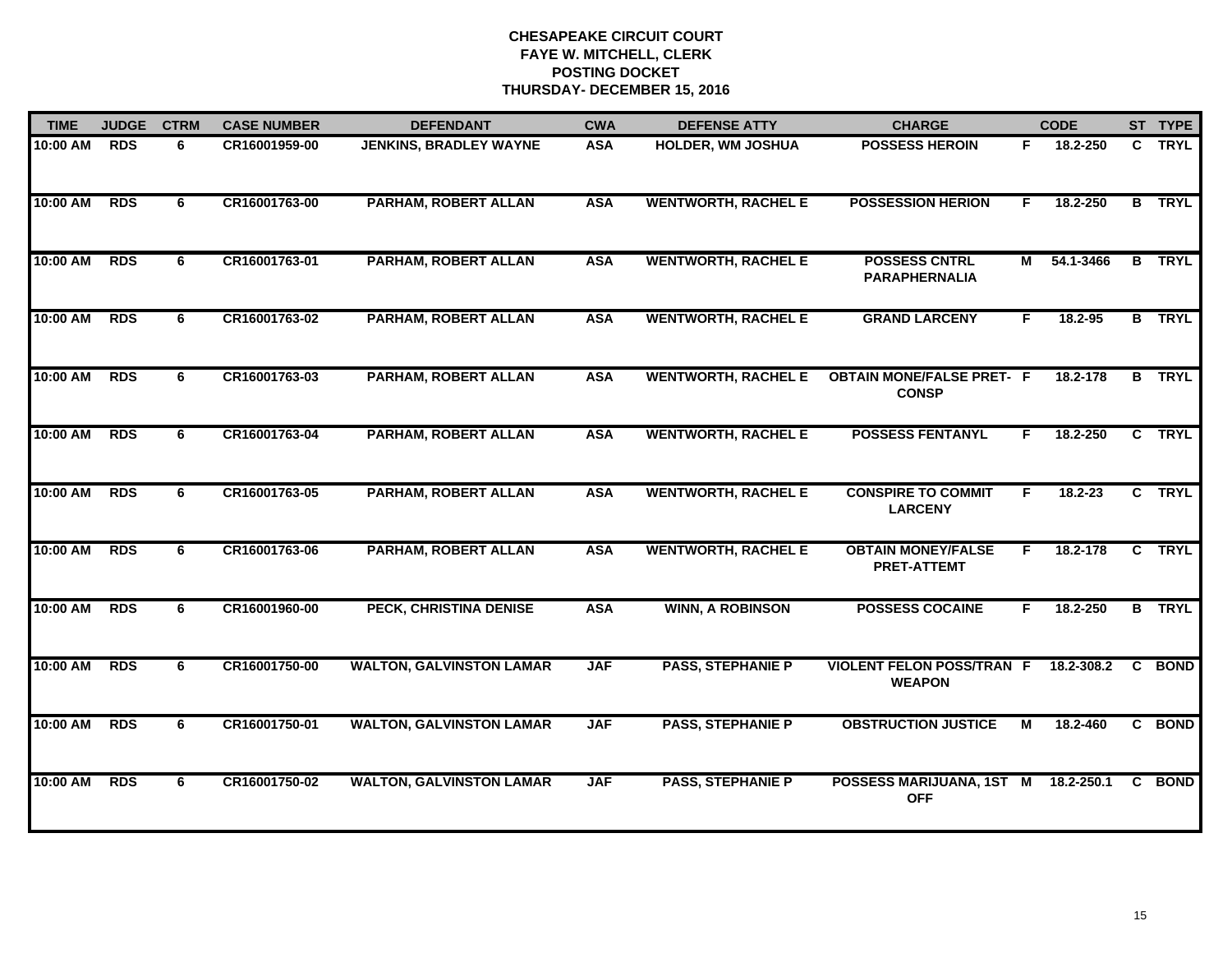| <b>TIME</b> | <b>JUDGE</b> | <b>CTRM</b> | <b>CASE NUMBER</b> | <b>DEFENDANT</b>                | <b>CWA</b> | <b>DEFENSE ATTY</b>        | <b>CHARGE</b>                                     |    | <b>CODE</b> |                | ST TYPE       |
|-------------|--------------|-------------|--------------------|---------------------------------|------------|----------------------------|---------------------------------------------------|----|-------------|----------------|---------------|
| 10:00 AM    | <b>RDS</b>   | 6           | CR16001959-00      | <b>JENKINS, BRADLEY WAYNE</b>   | <b>ASA</b> | <b>HOLDER, WM JOSHUA</b>   | <b>POSSESS HEROIN</b>                             | F. | 18.2-250    |                | C TRYL        |
| 10:00 AM    | <b>RDS</b>   | 6           | CR16001763-00      | PARHAM, ROBERT ALLAN            | <b>ASA</b> | <b>WENTWORTH, RACHEL E</b> | <b>POSSESSION HERION</b>                          | F. | 18.2-250    |                | <b>B</b> TRYL |
| 10:00 AM    | <b>RDS</b>   | 6           | CR16001763-01      | PARHAM, ROBERT ALLAN            | <b>ASA</b> | <b>WENTWORTH, RACHEL E</b> | <b>POSSESS CNTRL</b><br><b>PARAPHERNALIA</b>      | М  | 54.1-3466   | $\overline{B}$ | <b>TRYL</b>   |
| 10:00 AM    | <b>RDS</b>   | 6           | CR16001763-02      | PARHAM, ROBERT ALLAN            | <b>ASA</b> | <b>WENTWORTH, RACHEL E</b> | <b>GRAND LARCENY</b>                              | F. | 18.2-95     |                | <b>B</b> TRYL |
| 10:00 AM    | <b>RDS</b>   | 6           | CR16001763-03      | PARHAM, ROBERT ALLAN            | <b>ASA</b> | <b>WENTWORTH, RACHEL E</b> | <b>OBTAIN MONE/FALSE PRET- F</b><br><b>CONSP</b>  |    | 18.2-178    |                | <b>B</b> TRYL |
| 10:00 AM    | <b>RDS</b>   | 6           | CR16001763-04      | PARHAM, ROBERT ALLAN            | <b>ASA</b> | <b>WENTWORTH, RACHEL E</b> | <b>POSSESS FENTANYL</b>                           | F. | 18.2-250    |                | C TRYL        |
| 10:00 AM    | <b>RDS</b>   | 6           | CR16001763-05      | PARHAM, ROBERT ALLAN            | <b>ASA</b> | <b>WENTWORTH, RACHEL E</b> | <b>CONSPIRE TO COMMIT</b><br><b>LARCENY</b>       | F  | $18.2 - 23$ |                | C TRYL        |
| 10:00 AM    | <b>RDS</b>   | 6           | CR16001763-06      | PARHAM, ROBERT ALLAN            | <b>ASA</b> | <b>WENTWORTH, RACHEL E</b> | <b>OBTAIN MONEY/FALSE</b><br><b>PRET-ATTEMT</b>   | F. | 18.2-178    |                | C TRYL        |
| 10:00 AM    | <b>RDS</b>   | 6           | CR16001960-00      | PECK, CHRISTINA DENISE          | <b>ASA</b> | <b>WINN, A ROBINSON</b>    | <b>POSSESS COCAINE</b>                            | F. | 18.2-250    |                | <b>B</b> TRYL |
| 10:00 AM    | <b>RDS</b>   | 6           | CR16001750-00      | <b>WALTON, GALVINSTON LAMAR</b> | <b>JAF</b> | <b>PASS, STEPHANIE P</b>   | <b>VIOLENT FELON POSS/TRAN F</b><br><b>WEAPON</b> |    | 18.2-308.2  | C.             | <b>BOND</b>   |
| 10:00 AM    | <b>RDS</b>   | 6           | CR16001750-01      | <b>WALTON, GALVINSTON LAMAR</b> | <b>JAF</b> | <b>PASS, STEPHANIE P</b>   | <b>OBSTRUCTION JUSTICE</b>                        | М  | 18.2-460    |                | C BOND        |
| 10:00 AM    | <b>RDS</b>   | 6           | CR16001750-02      | <b>WALTON, GALVINSTON LAMAR</b> | <b>JAF</b> | <b>PASS, STEPHANIE P</b>   | POSSESS MARIJUANA, 1ST M<br><b>OFF</b>            |    | 18.2-250.1  | C.             | <b>BOND</b>   |